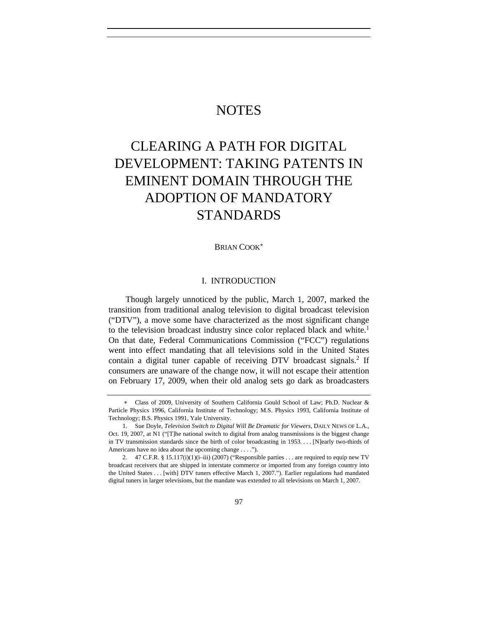# **NOTES**

# CLEARING A PATH FOR DIGITAL DEVELOPMENT: TAKING PATENTS IN EMINENT DOMAIN THROUGH THE ADOPTION OF MANDATORY STANDARDS

BRIAN COOK<sup>∗</sup>

# I. INTRODUCTION

Though largely unnoticed by the public, March 1, 2007, marked the transition from traditional analog television to digital broadcast television ("DTV"), a move some have characterized as the most significant change to the television broadcast industry since color replaced black and white.<sup>1</sup> On that date, Federal Communications Commission ("FCC") regulations went into effect mandating that all televisions sold in the United States contain a digital tuner capable of receiving DTV broadcast signals.<sup>2</sup> If consumers are unaware of the change now, it will not escape their attention on February 17, 2009, when their old analog sets go dark as broadcasters

<sup>∗</sup> Class of 2009, University of Southern California Gould School of Law; Ph.D. Nuclear & Particle Physics 1996, California Institute of Technology; M.S. Physics 1993, California Institute of Technology; B.S. Physics 1991, Yale University.

 <sup>1.</sup> Sue Doyle, *Television Switch to Digital Will Be Dramatic for Viewers*, DAILY NEWS OF L.A., Oct. 19, 2007, at N1 ("[T]he national switch to digital from analog transmissions is the biggest change in TV transmission standards since the birth of color broadcasting in 1953. . . . [N]early two-thirds of Americans have no idea about the upcoming change . . . .").

 <sup>2. 47</sup> C.F.R. § 15.117(i)(1)(i–iii) (2007) ("Responsible parties . . . are required to equip new TV broadcast receivers that are shipped in interstate commerce or imported from any foreign country into the United States . . . [with] DTV tuners effective March 1, 2007."). Earlier regulations had mandated digital tuners in larger televisions, but the mandate was extended to all televisions on March 1, 2007.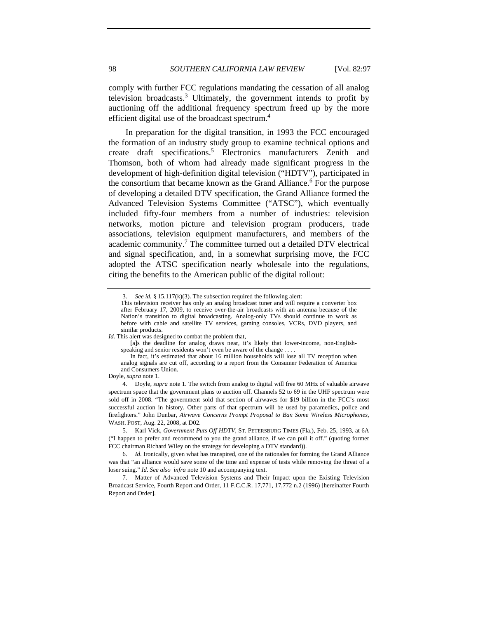comply with further FCC regulations mandating the cessation of all analog television broadcasts.<sup>3</sup> Ultimately, the government intends to profit by auctioning off the additional frequency spectrum freed up by the more efficient digital use of the broadcast spectrum.<sup>4</sup>

In preparation for the digital transition, in 1993 the FCC encouraged the formation of an industry study group to examine technical options and create draft specifications.5 Electronics manufacturers Zenith and Thomson, both of whom had already made significant progress in the development of high-definition digital television ("HDTV"), participated in the consortium that became known as the Grand Alliance.<sup>6</sup> For the purpose of developing a detailed DTV specification, the Grand Alliance formed the Advanced Television Systems Committee ("ATSC"), which eventually included fifty-four members from a number of industries: television networks, motion picture and television program producers, trade associations, television equipment manufacturers, and members of the academic community.<sup>7</sup> The committee turned out a detailed DTV electrical and signal specification, and, in a somewhat surprising move, the FCC adopted the ATSC specification nearly wholesale into the regulations, citing the benefits to the American public of the digital rollout:

 [a]s the deadline for analog draws near, it's likely that lower-income, non-Englishspeaking and senior residents won't even be aware of the change.

Doyle, *supra* note 1.

 4. Doyle, *supra* note 1. The switch from analog to digital will free 60 MHz of valuable airwave spectrum space that the government plans to auction off. Channels 52 to 69 in the UHF spectrum were sold off in 2008. "The government sold that section of airwaves for \$19 billion in the FCC's most successful auction in history. Other parts of that spectrum will be used by paramedics, police and firefighters." John Dunbar, *Airwave Concerns Prompt Proposal to Ban Some Wireless Microphones*, WASH. POST, Aug. 22, 2008, at D02.

 5. Karl Vick, *Government Puts Off HDTV*, ST. PETERSBURG TIMES (Fla.), Feb. 25, 1993, at 6A ("I happen to prefer and recommend to you the grand alliance, if we can pull it off." (quoting former FCC chairman Richard Wiley on the strategy for developing a DTV standard)).

 <sup>3.</sup> *See id.* § 15.117(k)(3). The subsection required the following alert:

This television receiver has only an analog broadcast tuner and will require a converter box after February 17, 2009, to receive over-the-air broadcasts with an antenna because of the Nation's transition to digital broadcasting. Analog-only TVs should continue to work as before with cable and satellite TV services, gaming consoles, VCRs, DVD players, and similar products.

*Id.* This alert was designed to combat the problem that,

In fact, it's estimated that about 16 million households will lose all TV reception when analog signals are cut off, according to a report from the Consumer Federation of America and Consumers Union.

<sup>6.</sup> *Id.* Ironically, given what has transpired*,* one of the rationales for forming the Grand Alliance was that "an alliance would save some of the time and expense of tests while removing the threat of a loser suing." *Id. See also infra* note 10 and accompanying text.

 <sup>7.</sup> Matter of Advanced Television Systems and Their Impact upon the Existing Television Broadcast Service, Fourth Report and Order, 11 F.C.C.R. 17,771, 17,772 n.2 (1996) [hereinafter Fourth Report and Order].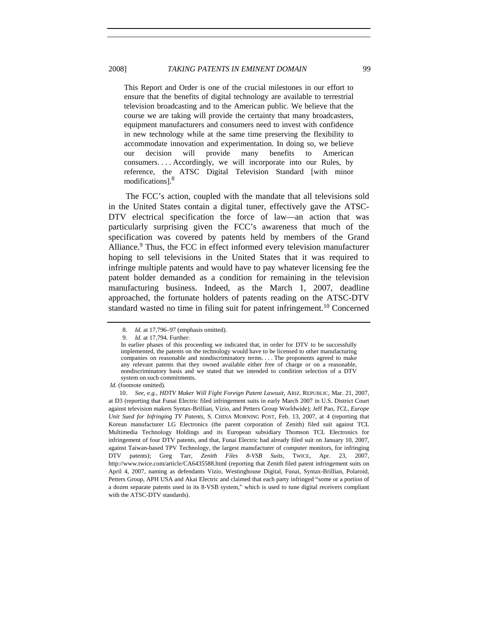This Report and Order is one of the crucial milestones in our effort to ensure that the benefits of digital technology are available to terrestrial television broadcasting and to the American public. We believe that the course we are taking will provide the certainty that many broadcasters, equipment manufacturers and consumers need to invest with confidence in new technology while at the same time preserving the flexibility to accommodate innovation and experimentation. In doing so, we believe our decision will provide many benefits to American consumers. . . . Accordingly, we will incorporate into our Rules, by

reference, the ATSC Digital Television Standard [with minor

The FCC's action, coupled with the mandate that all televisions sold in the United States contain a digital tuner, effectively gave the ATSC-DTV electrical specification the force of law—an action that was particularly surprising given the FCC's awareness that much of the specification was covered by patents held by members of the Grand Alliance.<sup>9</sup> Thus, the FCC in effect informed every television manufacturer hoping to sell televisions in the United States that it was required to infringe multiple patents and would have to pay whatever licensing fee the patent holder demanded as a condition for remaining in the television manufacturing business. Indeed, as the March 1, 2007, deadline approached, the fortunate holders of patents reading on the ATSC-DTV standard wasted no time in filing suit for patent infringement.<sup>10</sup> Concerned

modifications].8

<sup>8.</sup> *Id.* at 17,796–97 (emphasis omitted).

<sup>9.</sup> *Id.* at 17,794. Further:

In earlier phases of this proceeding we indicated that, in order for DTV to be successfully implemented, the patents on the technology would have to be licensed to other manufacturing companies on reasonable and nondiscriminatory terms. . . . The proponents agreed to make any relevant patents that they owned available either free of charge or on a reasonable, nondiscriminatory basis and we stated that we intended to condition selection of a DTV system on such commitments.

*Id.* (footnote omitted).

 <sup>10.</sup> *See, e.g.*, *HDTV Maker Will Fight Foreign Patent Lawsuit*, ARIZ. REPUBLIC, Mar. 21, 2007, at D3 (reporting that Funai Electric filed infringement suits in early March 2007 in U.S. District Court against television makers Syntax-Brillian, Vizio, and Petters Group Worldwide); Jeff Pao, *TCL, Europe Unit Sued for Infringing TV Patents*, S. CHINA MORNING POST, Feb. 13, 2007, at 4 (reporting that Korean manufacturer LG Electronics (the parent corporation of Zenith) filed suit against TCL Multimedia Technology Holdings and its European subsidiary Thomson TCL Electronics for infringement of four DTV patents, and that, Funai Electric had already filed suit on January 10, 2007, against Taiwan-based TPV Technology, the largest manufacturer of computer monitors, for infringing DTV patents); Greg Tarr, *Zenith Files 8-VSB Suits*, TWICE, Apr. 23, 2007, http://www.twice.com/article/CA6435588.html (reporting that Zenith filed patent infringement suits on April 4, 2007, naming as defendants Vizio, Westinghouse Digital, Funai, Syntax-Brillian, Polaroid, Petters Group, APH USA and Akai Electric and claimed that each party infringed "some or a portion of a dozen separate patents used in its 8-VSB system," which is used to tune digital receivers compliant with the ATSC-DTV standards).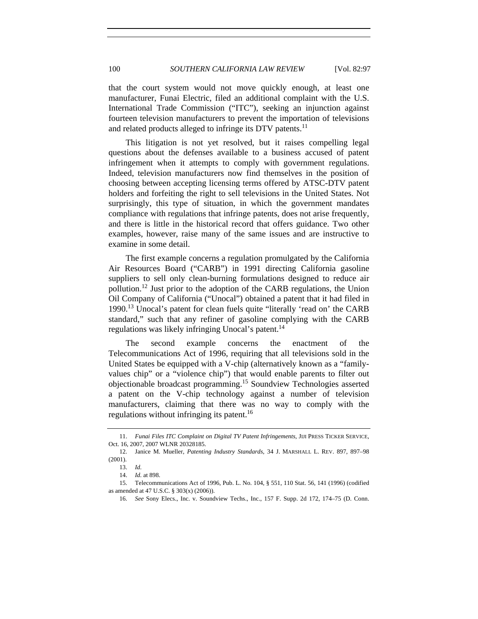that the court system would not move quickly enough, at least one manufacturer, Funai Electric, filed an additional complaint with the U.S. International Trade Commission ("ITC"), seeking an injunction against fourteen television manufacturers to prevent the importation of televisions and related products alleged to infringe its DTV patents.<sup>11</sup>

This litigation is not yet resolved, but it raises compelling legal questions about the defenses available to a business accused of patent infringement when it attempts to comply with government regulations. Indeed, television manufacturers now find themselves in the position of choosing between accepting licensing terms offered by ATSC-DTV patent holders and forfeiting the right to sell televisions in the United States. Not surprisingly, this type of situation, in which the government mandates compliance with regulations that infringe patents, does not arise frequently, and there is little in the historical record that offers guidance. Two other examples, however, raise many of the same issues and are instructive to examine in some detail.

The first example concerns a regulation promulgated by the California Air Resources Board ("CARB") in 1991 directing California gasoline suppliers to sell only clean-burning formulations designed to reduce air pollution.12 Just prior to the adoption of the CARB regulations, the Union Oil Company of California ("Unocal") obtained a patent that it had filed in 1990.13 Unocal's patent for clean fuels quite "literally 'read on' the CARB standard," such that any refiner of gasoline complying with the CARB regulations was likely infringing Unocal's patent.<sup>14</sup>

The second example concerns the enactment of the Telecommunications Act of 1996, requiring that all televisions sold in the United States be equipped with a V-chip (alternatively known as a "familyvalues chip" or a "violence chip") that would enable parents to filter out objectionable broadcast programming.15 Soundview Technologies asserted a patent on the V-chip technology against a number of television manufacturers, claiming that there was no way to comply with the regulations without infringing its patent.<sup>16</sup>

<sup>11.</sup> *Funai Files ITC Complaint on Digital TV Patent Infringements*, JIJI PRESS TICKER SERVICE, Oct. 16, 2007, 2007 WLNR 20328185.

 <sup>12.</sup> Janice M. Mueller, *Patenting Industry Standards*, 34 J. MARSHALL L. REV. 897, 897–98 (2001).

<sup>13.</sup> *Id.*

<sup>14.</sup> *Id.* at 898.

 <sup>15.</sup> Telecommunications Act of 1996, Pub. L. No. 104, § 551, 110 Stat. 56, 141 (1996) (codified as amended at 47 U.S.C. § 303(x) (2006)).

<sup>16.</sup> *See* Sony Elecs., Inc. v. Soundview Techs., Inc., 157 F. Supp. 2d 172, 174–75 (D. Conn.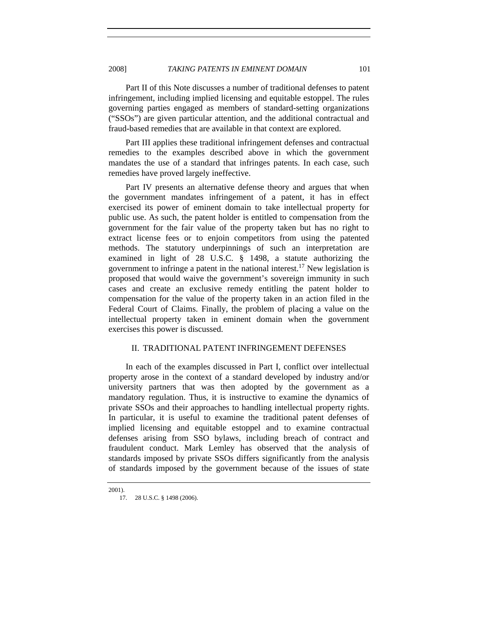Part II of this Note discusses a number of traditional defenses to patent infringement, including implied licensing and equitable estoppel. The rules governing parties engaged as members of standard-setting organizations ("SSOs") are given particular attention, and the additional contractual and fraud-based remedies that are available in that context are explored.

Part III applies these traditional infringement defenses and contractual remedies to the examples described above in which the government mandates the use of a standard that infringes patents. In each case, such remedies have proved largely ineffective.

Part IV presents an alternative defense theory and argues that when the government mandates infringement of a patent, it has in effect exercised its power of eminent domain to take intellectual property for public use. As such, the patent holder is entitled to compensation from the government for the fair value of the property taken but has no right to extract license fees or to enjoin competitors from using the patented methods. The statutory underpinnings of such an interpretation are examined in light of 28 U.S.C. § 1498, a statute authorizing the government to infringe a patent in the national interest.<sup>17</sup> New legislation is proposed that would waive the government's sovereign immunity in such cases and create an exclusive remedy entitling the patent holder to compensation for the value of the property taken in an action filed in the Federal Court of Claims. Finally, the problem of placing a value on the intellectual property taken in eminent domain when the government exercises this power is discussed.

### II. TRADITIONAL PATENT INFRINGEMENT DEFENSES

In each of the examples discussed in Part I, conflict over intellectual property arose in the context of a standard developed by industry and/or university partners that was then adopted by the government as a mandatory regulation. Thus, it is instructive to examine the dynamics of private SSOs and their approaches to handling intellectual property rights. In particular, it is useful to examine the traditional patent defenses of implied licensing and equitable estoppel and to examine contractual defenses arising from SSO bylaws, including breach of contract and fraudulent conduct. Mark Lemley has observed that the analysis of standards imposed by private SSOs differs significantly from the analysis of standards imposed by the government because of the issues of state

2001).

 <sup>17. 28</sup> U.S.C. § 1498 (2006).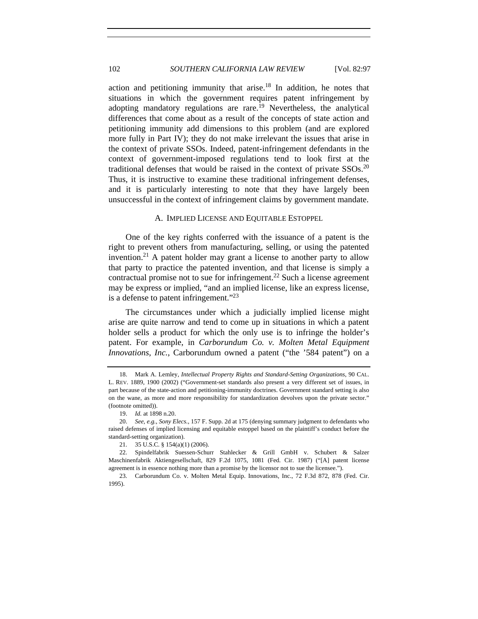action and petitioning immunity that arise.<sup>18</sup> In addition, he notes that situations in which the government requires patent infringement by adopting mandatory regulations are rare.<sup>19</sup> Nevertheless, the analytical differences that come about as a result of the concepts of state action and petitioning immunity add dimensions to this problem (and are explored more fully in Part IV); they do not make irrelevant the issues that arise in the context of private SSOs. Indeed, patent-infringement defendants in the context of government-imposed regulations tend to look first at the traditional defenses that would be raised in the context of private  $SSOs^{20}$ Thus, it is instructive to examine these traditional infringement defenses, and it is particularly interesting to note that they have largely been unsuccessful in the context of infringement claims by government mandate.

#### A. IMPLIED LICENSE AND EQUITABLE ESTOPPEL

One of the key rights conferred with the issuance of a patent is the right to prevent others from manufacturing, selling, or using the patented invention.<sup>21</sup> A patent holder may grant a license to another party to allow that party to practice the patented invention, and that license is simply a contractual promise not to sue for infringement.<sup>22</sup> Such a license agreement may be express or implied, "and an implied license, like an express license, is a defense to patent infringement."23

The circumstances under which a judicially implied license might arise are quite narrow and tend to come up in situations in which a patent holder sells a product for which the only use is to infringe the holder's patent. For example, in *Carborundum Co. v. Molten Metal Equipment Innovations, Inc.*, Carborundum owned a patent ("the '584 patent") on a

 <sup>18.</sup> Mark A. Lemley, *Intellectual Property Rights and Standard-Setting Organizations*, 90 CAL. L. REV. 1889, 1900 (2002) ("Government-set standards also present a very different set of issues, in part because of the state-action and petitioning-immunity doctrines. Government standard setting is also on the wane, as more and more responsibility for standardization devolves upon the private sector." (footnote omitted)).

 <sup>19.</sup> *Id.* at 1898 n.20.

<sup>20.</sup> *See, e.g.*, *Sony Elecs.*, 157 F. Supp. 2d at 175 (denying summary judgment to defendants who raised defenses of implied licensing and equitable estoppel based on the plaintiff's conduct before the standard-setting organization).

 <sup>21. 35</sup> U.S.C. § 154(a)(1) (2006).

 <sup>22.</sup> Spindelfabrik Suessen-Schurr Stahlecker & Grill GmbH v. Schubert & Salzer Maschinenfabrik Aktiengesellschaft, 829 F.2d 1075, 1081 (Fed. Cir. 1987) ("[A] patent license agreement is in essence nothing more than a promise by the licensor not to sue the licensee.").

 <sup>23.</sup> Carborundum Co. v. Molten Metal Equip. Innovations, Inc., 72 F.3d 872, 878 (Fed. Cir. 1995).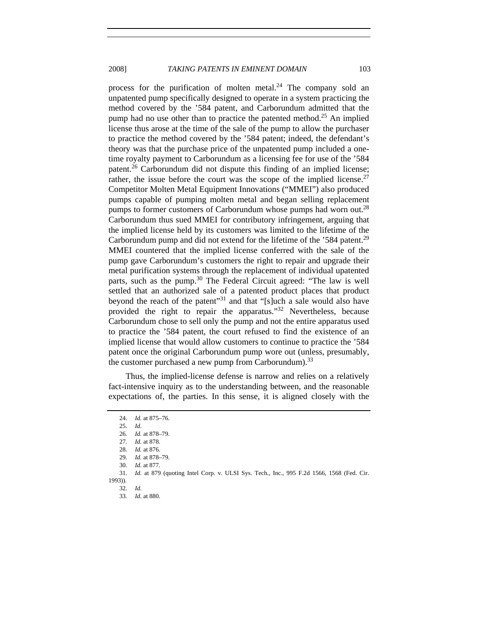process for the purification of molten metal. $^{24}$  The company sold an unpatented pump specifically designed to operate in a system practicing the method covered by the '584 patent, and Carborundum admitted that the pump had no use other than to practice the patented method.<sup>25</sup> An implied license thus arose at the time of the sale of the pump to allow the purchaser to practice the method covered by the '584 patent; indeed, the defendant's theory was that the purchase price of the unpatented pump included a onetime royalty payment to Carborundum as a licensing fee for use of the '584 patent.<sup>26</sup> Carborundum did not dispute this finding of an implied license; rather, the issue before the court was the scope of the implied license.<sup>27</sup> Competitor Molten Metal Equipment Innovations ("MMEI") also produced pumps capable of pumping molten metal and began selling replacement pumps to former customers of Carborundum whose pumps had worn out.<sup>28</sup> Carborundum thus sued MMEI for contributory infringement, arguing that the implied license held by its customers was limited to the lifetime of the Carborundum pump and did not extend for the lifetime of the '584 patent.<sup>29</sup> MMEI countered that the implied license conferred with the sale of the pump gave Carborundum's customers the right to repair and upgrade their metal purification systems through the replacement of individual upatented parts, such as the pump.<sup>30</sup> The Federal Circuit agreed: "The law is well settled that an authorized sale of a patented product places that product beyond the reach of the patent"<sup>31</sup> and that "[s]uch a sale would also have provided the right to repair the apparatus."32 Nevertheless, because Carborundum chose to sell only the pump and not the entire apparatus used to practice the '584 patent, the court refused to find the existence of an implied license that would allow customers to continue to practice the '584 patent once the original Carborundum pump wore out (unless, presumably, the customer purchased a new pump from Carborundum).<sup>33</sup>

Thus, the implied-license defense is narrow and relies on a relatively fact-intensive inquiry as to the understanding between, and the reasonable expectations of, the parties. In this sense, it is aligned closely with the

<sup>24.</sup> *Id.* at 875–76.

<sup>25.</sup> *Id.*

<sup>26.</sup> *Id.* at 878–79.

 <sup>27.</sup> *Id.* at 878.

 <sup>28.</sup> *Id.* at 876.

<sup>29.</sup> *Id.* at 878–79.

 <sup>30.</sup> *Id.* at 877.

<sup>31.</sup> *Id.* at 879 (quoting Intel Corp. v. ULSI Sys. Tech., Inc., 995 F.2d 1566, 1568 (Fed. Cir.

<sup>1993)).</sup> 

<sup>32.</sup> *Id.* 33. *Id.* at 880.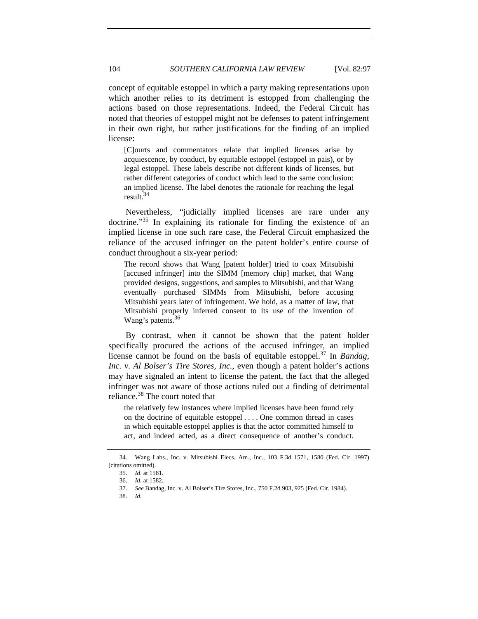concept of equitable estoppel in which a party making representations upon which another relies to its detriment is estopped from challenging the actions based on those representations. Indeed, the Federal Circuit has noted that theories of estoppel might not be defenses to patent infringement in their own right, but rather justifications for the finding of an implied license:

[C]ourts and commentators relate that implied licenses arise by acquiescence, by conduct, by equitable estoppel (estoppel in pais), or by legal estoppel. These labels describe not different kinds of licenses, but rather different categories of conduct which lead to the same conclusion: an implied license. The label denotes the rationale for reaching the legal result. $34$ 

Nevertheless, "judicially implied licenses are rare under any doctrine."35 In explaining its rationale for finding the existence of an implied license in one such rare case, the Federal Circuit emphasized the reliance of the accused infringer on the patent holder's entire course of conduct throughout a six-year period:

The record shows that Wang [patent holder] tried to coax Mitsubishi [accused infringer] into the SIMM [memory chip] market, that Wang provided designs, suggestions, and samples to Mitsubishi, and that Wang eventually purchased SIMMs from Mitsubishi, before accusing Mitsubishi years later of infringement. We hold, as a matter of law, that Mitsubishi properly inferred consent to its use of the invention of Wang's patents.<sup>36</sup>

By contrast, when it cannot be shown that the patent holder specifically procured the actions of the accused infringer, an implied license cannot be found on the basis of equitable estoppel.37 In *Bandag, Inc. v. Al Bolser's Tire Stores, Inc.*, even though a patent holder's actions may have signaled an intent to license the patent, the fact that the alleged infringer was not aware of those actions ruled out a finding of detrimental reliance.38 The court noted that

the relatively few instances where implied licenses have been found rely on the doctrine of equitable estoppel . . . . One common thread in cases in which equitable estoppel applies is that the actor committed himself to act, and indeed acted, as a direct consequence of another's conduct.

 <sup>34.</sup> Wang Labs., Inc. v. Mitsubishi Elecs. Am., Inc., 103 F.3d 1571, 1580 (Fed. Cir. 1997) (citations omitted).

<sup>35.</sup> *Id.* at 1581.

<sup>36.</sup> *Id.* at 1582.

<sup>37.</sup> *See* Bandag, Inc. v. Al Bolser's Tire Stores, Inc., 750 F.2d 903, 925 (Fed. Cir. 1984).

<sup>38.</sup> *Id.*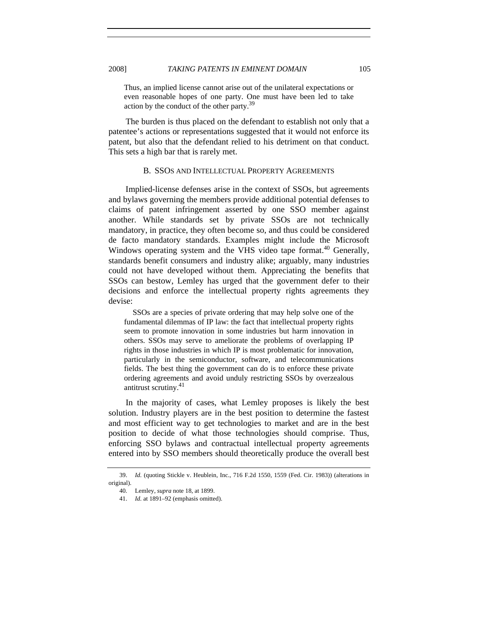Thus, an implied license cannot arise out of the unilateral expectations or even reasonable hopes of one party. One must have been led to take action by the conduct of the other party.<sup>39</sup>

The burden is thus placed on the defendant to establish not only that a patentee's actions or representations suggested that it would not enforce its patent, but also that the defendant relied to his detriment on that conduct. This sets a high bar that is rarely met.

#### B. SSOS AND INTELLECTUAL PROPERTY AGREEMENTS

Implied-license defenses arise in the context of SSOs, but agreements and bylaws governing the members provide additional potential defenses to claims of patent infringement asserted by one SSO member against another. While standards set by private SSOs are not technically mandatory, in practice, they often become so, and thus could be considered de facto mandatory standards. Examples might include the Microsoft Windows operating system and the VHS video tape format.<sup>40</sup> Generally, standards benefit consumers and industry alike; arguably, many industries could not have developed without them. Appreciating the benefits that SSOs can bestow, Lemley has urged that the government defer to their decisions and enforce the intellectual property rights agreements they devise:

 SSOs are a species of private ordering that may help solve one of the fundamental dilemmas of IP law: the fact that intellectual property rights seem to promote innovation in some industries but harm innovation in others. SSOs may serve to ameliorate the problems of overlapping IP rights in those industries in which IP is most problematic for innovation, particularly in the semiconductor, software, and telecommunications fields. The best thing the government can do is to enforce these private ordering agreements and avoid unduly restricting SSOs by overzealous antitrust scrutiny.<sup>41</sup>

In the majority of cases, what Lemley proposes is likely the best solution. Industry players are in the best position to determine the fastest and most efficient way to get technologies to market and are in the best position to decide of what those technologies should comprise. Thus, enforcing SSO bylaws and contractual intellectual property agreements entered into by SSO members should theoretically produce the overall best

<sup>39.</sup> *Id.* (quoting Stickle v. Heublein, Inc., 716 F.2d 1550, 1559 (Fed. Cir. 1983)) (alterations in original).

 <sup>40.</sup> Lemley, *supra* note 18, at 1899.

 <sup>41.</sup> *Id.* at 1891–92 (emphasis omitted).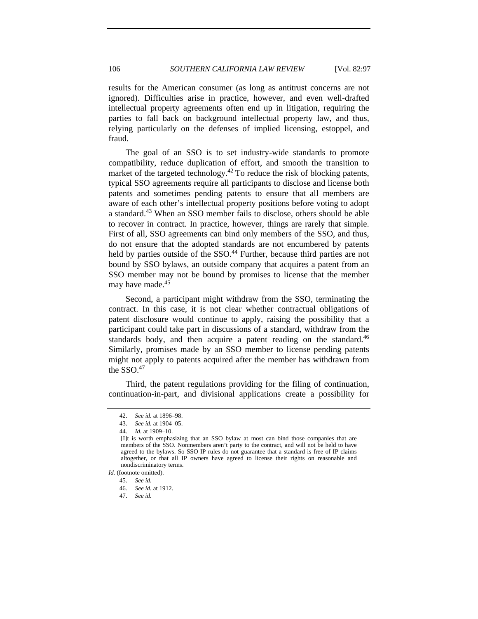results for the American consumer (as long as antitrust concerns are not ignored). Difficulties arise in practice, however, and even well-drafted intellectual property agreements often end up in litigation, requiring the parties to fall back on background intellectual property law, and thus, relying particularly on the defenses of implied licensing, estoppel, and fraud.

The goal of an SSO is to set industry-wide standards to promote compatibility, reduce duplication of effort, and smooth the transition to market of the targeted technology.<sup>42</sup> To reduce the risk of blocking patents, typical SSO agreements require all participants to disclose and license both patents and sometimes pending patents to ensure that all members are aware of each other's intellectual property positions before voting to adopt a standard.43 When an SSO member fails to disclose, others should be able to recover in contract. In practice, however, things are rarely that simple. First of all, SSO agreements can bind only members of the SSO, and thus, do not ensure that the adopted standards are not encumbered by patents held by parties outside of the SSO.<sup>44</sup> Further, because third parties are not bound by SSO bylaws, an outside company that acquires a patent from an SSO member may not be bound by promises to license that the member may have made.<sup>45</sup>

Second, a participant might withdraw from the SSO, terminating the contract. In this case, it is not clear whether contractual obligations of patent disclosure would continue to apply, raising the possibility that a participant could take part in discussions of a standard, withdraw from the standards body, and then acquire a patent reading on the standard.<sup>46</sup> Similarly, promises made by an SSO member to license pending patents might not apply to patents acquired after the member has withdrawn from the  $SSO.<sup>47</sup>$ 

Third, the patent regulations providing for the filing of continuation, continuation-in-part, and divisional applications create a possibility for

 <sup>42.</sup> *See id.* at 1896–98.

<sup>43.</sup> *See id.* at 1904–05.

 <sup>44.</sup> *Id.* at 1909–10.

<sup>[</sup>I]t is worth emphasizing that an SSO bylaw at most can bind those companies that are members of the SSO. Nonmembers aren't party to the contract, and will not be held to have agreed to the bylaws. So SSO IP rules do not guarantee that a standard is free of IP claims altogether, or that all IP owners have agreed to license their rights on reasonable and nondiscriminatory terms.

*Id.* (footnote omitted).

 <sup>45.</sup> *See id.*

<sup>46.</sup> *See id.* at 1912.

 <sup>47.</sup> *See id.*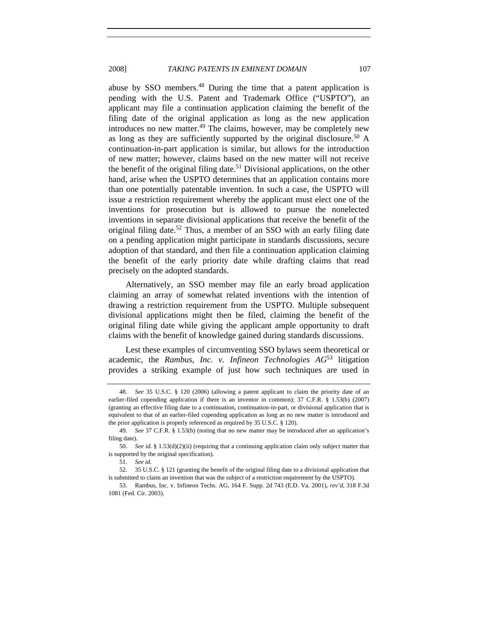abuse by SSO members.48 During the time that a patent application is pending with the U.S. Patent and Trademark Office ("USPTO"), an applicant may file a continuation application claiming the benefit of the filing date of the original application as long as the new application introduces no new matter. $49$  The claims, however, may be completely new as long as they are sufficiently supported by the original disclosure.<sup>50</sup> A continuation-in-part application is similar, but allows for the introduction of new matter; however, claims based on the new matter will not receive the benefit of the original filing date.<sup>51</sup> Divisional applications, on the other hand, arise when the USPTO determines that an application contains more than one potentially patentable invention. In such a case, the USPTO will issue a restriction requirement whereby the applicant must elect one of the inventions for prosecution but is allowed to pursue the nonelected inventions in separate divisional applications that receive the benefit of the original filing date.<sup>52</sup> Thus, a member of an SSO with an early filing date on a pending application might participate in standards discussions, secure adoption of that standard, and then file a continuation application claiming the benefit of the early priority date while drafting claims that read precisely on the adopted standards.

Alternatively, an SSO member may file an early broad application claiming an array of somewhat related inventions with the intention of drawing a restriction requirement from the USPTO. Multiple subsequent divisional applications might then be filed, claiming the benefit of the original filing date while giving the applicant ample opportunity to draft claims with the benefit of knowledge gained during standards discussions.

Lest these examples of circumventing SSO bylaws seem theoretical or academic, the *Rambus, Inc. v. Infineon Technologies AG*53 litigation provides a striking example of just how such techniques are used in

<sup>48.</sup> *See* 35 U.S.C. § 120 (2006) (allowing a patent applicant to claim the priority date of an earlier-filed copending application if there is an inventor in common); 37 C.F.R. § 1.53(b) (2007) (granting an effective filing date to a continuation, continuation-in-part, or divisional application that is equivalent to that of an earlier-filed copending application as long as no new matter is introduced and the prior application is properly referenced as required by 35 U.S.C. § 120).

 <sup>49.</sup> *See* 37 C.F.R. § 1.53(b) (noting that no new matter may be introduced after an application's filing date).

<sup>50.</sup> *See id.* § 1.53(d)(2)(ii) (requiring that a continuing application claim only subject matter that is supported by the original specification).

<sup>51.</sup> *See id.*

<sup>52.</sup> 35 U.S.C. § 121 (granting the benefit of the original filing date to a divisional application that is submitted to claim an invention that was the subject of a restriction requirement by the USPTO).

 <sup>53.</sup> Rambus, Inc. v. Infineon Techs. AG, 164 F. Supp. 2d 743 (E.D. Va. 2001), *rev'd*, 318 F.3d 1081 (Fed. Cir. 2003).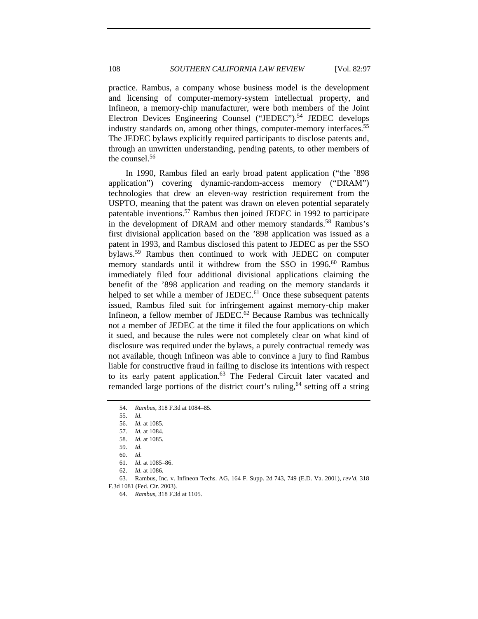practice. Rambus, a company whose business model is the development and licensing of computer-memory-system intellectual property, and Infineon, a memory-chip manufacturer, were both members of the Joint Electron Devices Engineering Counsel ("JEDEC").<sup>54</sup> JEDEC develops industry standards on, among other things, computer-memory interfaces.<sup>55</sup> The JEDEC bylaws explicitly required participants to disclose patents and, through an unwritten understanding, pending patents, to other members of the counsel.56

In 1990, Rambus filed an early broad patent application ("the '898 application") covering dynamic-random-access memory ("DRAM") technologies that drew an eleven-way restriction requirement from the USPTO, meaning that the patent was drawn on eleven potential separately patentable inventions.57 Rambus then joined JEDEC in 1992 to participate in the development of DRAM and other memory standards.<sup>58</sup> Rambus's first divisional application based on the '898 application was issued as a patent in 1993, and Rambus disclosed this patent to JEDEC as per the SSO bylaws.59 Rambus then continued to work with JEDEC on computer memory standards until it withdrew from the SSO in 1996.<sup>60</sup> Rambus immediately filed four additional divisional applications claiming the benefit of the '898 application and reading on the memory standards it helped to set while a member of JEDEC.<sup>61</sup> Once these subsequent patents issued, Rambus filed suit for infringement against memory-chip maker Infineon, a fellow member of JEDEC.<sup>62</sup> Because Rambus was technically not a member of JEDEC at the time it filed the four applications on which it sued, and because the rules were not completely clear on what kind of disclosure was required under the bylaws, a purely contractual remedy was not available, though Infineon was able to convince a jury to find Rambus liable for constructive fraud in failing to disclose its intentions with respect to its early patent application.<sup>63</sup> The Federal Circuit later vacated and remanded large portions of the district court's ruling,  $64$  setting off a string

 <sup>54.</sup> *Rambus*, 318 F.3d at 1084–85.

 <sup>55.</sup> *Id.*

<sup>56.</sup> *Id.* at 1085.

<sup>57.</sup> *Id.* at 1084.

<sup>58.</sup> *Id.* at 1085.

<sup>59.</sup> *Id.*

<sup>60.</sup> *Id.*

<sup>61.</sup> *Id.* at 1085–86.

<sup>62.</sup> *Id.* at 1086.

 <sup>63.</sup> Rambus, Inc. v. Infineon Techs. AG, 164 F. Supp. 2d 743, 749 (E.D. Va. 2001), *rev'd*, 318 F.3d 1081 (Fed. Cir. 2003).

 <sup>64.</sup> *Rambus*, 318 F.3d at 1105.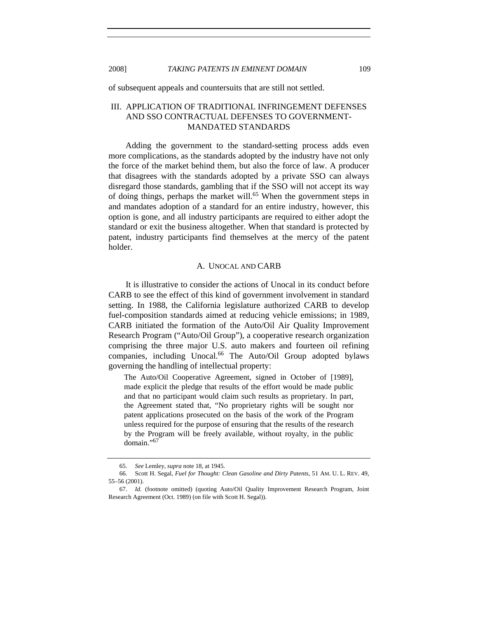of subsequent appeals and countersuits that are still not settled.

# III. APPLICATION OF TRADITIONAL INFRINGEMENT DEFENSES AND SSO CONTRACTUAL DEFENSES TO GOVERNMENT-MANDATED STANDARDS

Adding the government to the standard-setting process adds even more complications, as the standards adopted by the industry have not only the force of the market behind them, but also the force of law. A producer that disagrees with the standards adopted by a private SSO can always disregard those standards, gambling that if the SSO will not accept its way of doing things, perhaps the market will.<sup>65</sup> When the government steps in and mandates adoption of a standard for an entire industry, however, this option is gone, and all industry participants are required to either adopt the standard or exit the business altogether. When that standard is protected by patent, industry participants find themselves at the mercy of the patent holder.

#### A. UNOCAL AND CARB

It is illustrative to consider the actions of Unocal in its conduct before CARB to see the effect of this kind of government involvement in standard setting. In 1988, the California legislature authorized CARB to develop fuel-composition standards aimed at reducing vehicle emissions; in 1989, CARB initiated the formation of the Auto/Oil Air Quality Improvement Research Program ("Auto/Oil Group"), a cooperative research organization comprising the three major U.S. auto makers and fourteen oil refining companies, including Unocal.<sup>66</sup> The Auto/Oil Group adopted bylaws governing the handling of intellectual property:

The Auto/Oil Cooperative Agreement, signed in October of [1989], made explicit the pledge that results of the effort would be made public and that no participant would claim such results as proprietary. In part, the Agreement stated that, "No proprietary rights will be sought nor patent applications prosecuted on the basis of the work of the Program unless required for the purpose of ensuring that the results of the research by the Program will be freely available, without royalty, in the public domain."67

<sup>65.</sup> *See* Lemley, *supra* note 18, at 1945.

 <sup>66.</sup> Scott H. Segal, *Fuel for Thought: Clean Gasoline and Dirty Patents*, 51 AM. U. L. REV. 49, 55–56 (2001).

 <sup>67.</sup> *Id.* (footnote omitted) (quoting Auto/Oil Quality Improvement Research Program, Joint Research Agreement (Oct. 1989) (on file with Scott H. Segal)).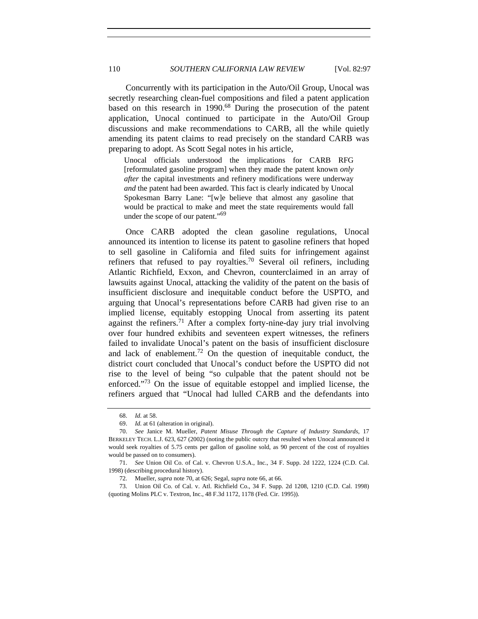Concurrently with its participation in the Auto/Oil Group, Unocal was secretly researching clean-fuel compositions and filed a patent application based on this research in 1990.<sup>68</sup> During the prosecution of the patent application, Unocal continued to participate in the Auto/Oil Group discussions and make recommendations to CARB, all the while quietly amending its patent claims to read precisely on the standard CARB was preparing to adopt. As Scott Segal notes in his article,

Unocal officials understood the implications for CARB RFG [reformulated gasoline program] when they made the patent known *only after* the capital investments and refinery modifications were underway *and* the patent had been awarded. This fact is clearly indicated by Unocal Spokesman Barry Lane: "[w]e believe that almost any gasoline that would be practical to make and meet the state requirements would fall under the scope of our patent."<sup>69</sup>

Once CARB adopted the clean gasoline regulations, Unocal announced its intention to license its patent to gasoline refiners that hoped to sell gasoline in California and filed suits for infringement against refiners that refused to pay royalties.<sup>70</sup> Several oil refiners, including Atlantic Richfield, Exxon, and Chevron, counterclaimed in an array of lawsuits against Unocal, attacking the validity of the patent on the basis of insufficient disclosure and inequitable conduct before the USPTO, and arguing that Unocal's representations before CARB had given rise to an implied license, equitably estopping Unocal from asserting its patent against the refiners.<sup>71</sup> After a complex forty-nine-day jury trial involving over four hundred exhibits and seventeen expert witnesses, the refiners failed to invalidate Unocal's patent on the basis of insufficient disclosure and lack of enablement.<sup>72</sup> On the question of inequitable conduct, the district court concluded that Unocal's conduct before the USPTO did not rise to the level of being "so culpable that the patent should not be enforced."73 On the issue of equitable estoppel and implied license, the refiners argued that "Unocal had lulled CARB and the defendants into

 <sup>68.</sup> *Id.* at 58.

 <sup>69.</sup> *Id.* at 61 (alteration in original).

 <sup>70.</sup> *See* Janice M. Mueller, *Patent Misuse Through the Capture of Industry Standards*, 17 BERKELEY TECH. L.J. 623, 627 (2002) (noting the public outcry that resulted when Unocal announced it would seek royalties of 5.75 cents per gallon of gasoline sold, as 90 percent of the cost of royalties would be passed on to consumers).

<sup>71.</sup> *See* Union Oil Co. of Cal. v. Chevron U.S.A., Inc., 34 F. Supp. 2d 1222, 1224 (C.D. Cal. 1998) (describing procedural history).

 <sup>72.</sup> Mueller, *supra* note 70, at 626; Segal, *supra* note 66, at 66.

 <sup>73.</sup> Union Oil Co. of Cal. v. Atl. Richfield Co., 34 F. Supp. 2d 1208, 1210 (C.D. Cal. 1998) (quoting Molins PLC v. Textron, Inc., 48 F.3d 1172, 1178 (Fed. Cir. 1995)).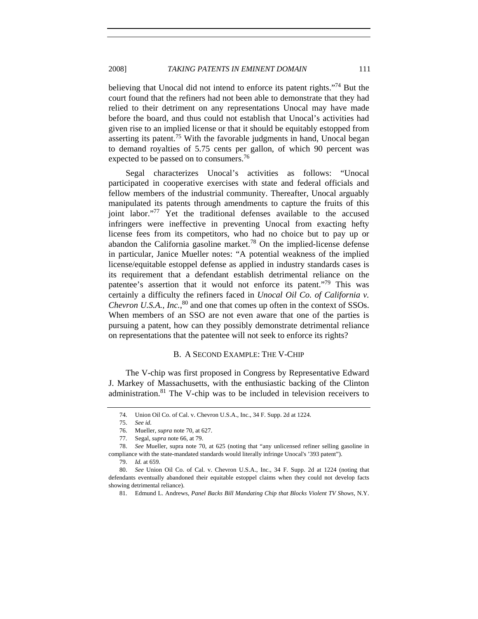believing that Unocal did not intend to enforce its patent rights."<sup>74</sup> But the court found that the refiners had not been able to demonstrate that they had relied to their detriment on any representations Unocal may have made before the board, and thus could not establish that Unocal's activities had given rise to an implied license or that it should be equitably estopped from asserting its patent.75 With the favorable judgments in hand, Unocal began to demand royalties of 5.75 cents per gallon, of which 90 percent was expected to be passed on to consumers.<sup>76</sup>

Segal characterizes Unocal's activities as follows: "Unocal participated in cooperative exercises with state and federal officials and fellow members of the industrial community. Thereafter, Unocal arguably manipulated its patents through amendments to capture the fruits of this joint labor."77 Yet the traditional defenses available to the accused infringers were ineffective in preventing Unocal from exacting hefty license fees from its competitors, who had no choice but to pay up or abandon the California gasoline market.<sup>78</sup> On the implied-license defense in particular, Janice Mueller notes: "A potential weakness of the implied license/equitable estoppel defense as applied in industry standards cases is its requirement that a defendant establish detrimental reliance on the patentee's assertion that it would not enforce its patent."79 This was certainly a difficulty the refiners faced in *Unocal Oil Co. of California v. Chevron U.S.A., Inc.*, 80 and one that comes up often in the context of SSOs. When members of an SSO are not even aware that one of the parties is pursuing a patent, how can they possibly demonstrate detrimental reliance on representations that the patentee will not seek to enforce its rights?

#### B. A SECOND EXAMPLE: THE V-CHIP

The V-chip was first proposed in Congress by Representative Edward J. Markey of Massachusetts, with the enthusiastic backing of the Clinton administration.81 The V-chip was to be included in television receivers to

 <sup>74.</sup> Union Oil Co. of Cal. v. Chevron U.S.A., Inc., 34 F. Supp. 2d at 1224.

<sup>75.</sup> *See id.*

 <sup>76.</sup> Mueller, *supra* note 70, at 627.

 <sup>77.</sup> Segal, *supra* note 66, at 79.

 <sup>78.</sup> *See* Mueller, supra note 70, at 625 (noting that "any unlicensed refiner selling gasoline in compliance with the state-mandated standards would literally infringe Unocal's '393 patent").

 <sup>79.</sup> *Id.* at 659.

 <sup>80.</sup> *See* Union Oil Co. of Cal. v. Chevron U.S.A., Inc., 34 F. Supp. 2d at 1224 (noting that defendants eventually abandoned their equitable estoppel claims when they could not develop facts showing detrimental reliance).

 <sup>81.</sup> Edmund L. Andrews, *Panel Backs Bill Mandating Chip that Blocks Violent TV Shows*, N.Y.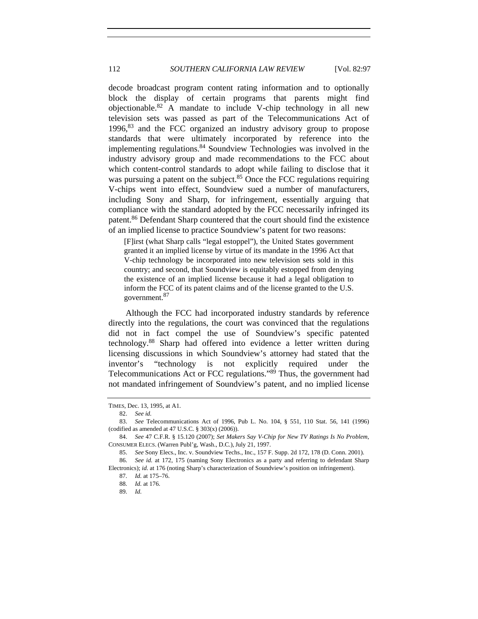decode broadcast program content rating information and to optionally block the display of certain programs that parents might find objectionable.<sup>82</sup> A mandate to include V-chip technology in all new television sets was passed as part of the Telecommunications Act of  $1996$ ,  $83$  and the FCC organized an industry advisory group to propose standards that were ultimately incorporated by reference into the implementing regulations.84 Soundview Technologies was involved in the industry advisory group and made recommendations to the FCC about which content-control standards to adopt while failing to disclose that it was pursuing a patent on the subject.<sup>85</sup> Once the FCC regulations requiring V-chips went into effect, Soundview sued a number of manufacturers, including Sony and Sharp, for infringement, essentially arguing that compliance with the standard adopted by the FCC necessarily infringed its patent.<sup>86</sup> Defendant Sharp countered that the court should find the existence of an implied license to practice Soundview's patent for two reasons:

[F]irst (what Sharp calls "legal estoppel"), the United States government granted it an implied license by virtue of its mandate in the 1996 Act that V-chip technology be incorporated into new television sets sold in this country; and second, that Soundview is equitably estopped from denying the existence of an implied license because it had a legal obligation to inform the FCC of its patent claims and of the license granted to the U.S. government.<sup>87</sup>

Although the FCC had incorporated industry standards by reference directly into the regulations, the court was convinced that the regulations did not in fact compel the use of Soundview's specific patented technology.88 Sharp had offered into evidence a letter written during licensing discussions in which Soundview's attorney had stated that the inventor's "technology is not explicitly required under the Telecommunications Act or FCC regulations."89 Thus, the government had not mandated infringement of Soundview's patent, and no implied license

TIMES, Dec. 13, 1995, at A1.

 <sup>82.</sup> *See id.*

 <sup>83.</sup> *See* Telecommunications Act of 1996, Pub L. No. 104, § 551, 110 Stat. 56, 141 (1996) (codified as amended at 47 U.S.C. § 303(x) (2006)).

 <sup>84.</sup> *See* 47 C.F.R. § 15.120 (2007); *Set Makers Say V-Chip for New TV Ratings Is No Problem*, CONSUMER ELECS. (Warren Publ'g, Wash., D.C.), July 21, 1997.

<sup>85.</sup> *See* Sony Elecs., Inc. v. Soundview Techs., Inc., 157 F. Supp. 2d 172, 178 (D. Conn. 2001).

<sup>86.</sup> *See id.* at 172, 175 (naming Sony Electronics as a party and referring to defendant Sharp Electronics); *id.* at 176 (noting Sharp's characterization of Soundview's position on infringement).

<sup>87.</sup> *Id.* at 175–76.

<sup>88.</sup> *Id.* at 176.

<sup>89.</sup> *Id.*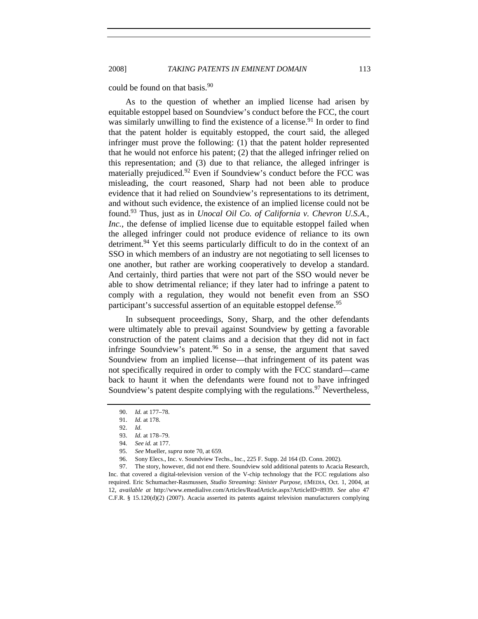could be found on that basis.<sup>90</sup>

As to the question of whether an implied license had arisen by equitable estoppel based on Soundview's conduct before the FCC, the court was similarly unwilling to find the existence of a license.<sup>91</sup> In order to find that the patent holder is equitably estopped, the court said, the alleged infringer must prove the following: (1) that the patent holder represented that he would not enforce his patent; (2) that the alleged infringer relied on this representation; and (3) due to that reliance, the alleged infringer is materially prejudiced.<sup>92</sup> Even if Soundview's conduct before the FCC was misleading, the court reasoned, Sharp had not been able to produce evidence that it had relied on Soundview's representations to its detriment, and without such evidence, the existence of an implied license could not be found.93 Thus, just as in *Unocal Oil Co. of California v. Chevron U.S.A., Inc.*, the defense of implied license due to equitable estoppel failed when the alleged infringer could not produce evidence of reliance to its own detriment.<sup>94</sup> Yet this seems particularly difficult to do in the context of an SSO in which members of an industry are not negotiating to sell licenses to one another, but rather are working cooperatively to develop a standard. And certainly, third parties that were not part of the SSO would never be able to show detrimental reliance; if they later had to infringe a patent to comply with a regulation, they would not benefit even from an SSO participant's successful assertion of an equitable estoppel defense.<sup>95</sup>

In subsequent proceedings, Sony, Sharp, and the other defendants were ultimately able to prevail against Soundview by getting a favorable construction of the patent claims and a decision that they did not in fact infringe Soundview's patent.<sup>96</sup> So in a sense, the argument that saved Soundview from an implied license—that infringement of its patent was not specifically required in order to comply with the FCC standard—came back to haunt it when the defendants were found not to have infringed Soundview's patent despite complying with the regulations.<sup>97</sup> Nevertheless,

 97. The story, however, did not end there. Soundview sold additional patents to Acacia Research, Inc. that covered a digital-television version of the V-chip technology that the FCC regulations also required. Eric Schumacher-Rasmussen, *Studio Streaming*: *Sinister Purpose*, EMEDIA, Oct. 1, 2004, at 12, *available at* http://www.emedialive.com/Articles/ReadArticle.aspx?ArticleID=8939. *See also* 47 C.F.R. § 15.120(d)(2) (2007). Acacia asserted its patents against television manufacturers complying

 <sup>90.</sup> *Id.* at 177–78.

<sup>91.</sup> *Id.* at 178.

<sup>92.</sup> *Id.*

<sup>93.</sup> *Id.* at 178–79.

 <sup>94.</sup> *See id.* at 177.

 <sup>95.</sup> *See* Mueller, *supra* note 70, at 659.

 <sup>96.</sup> Sony Elecs., Inc. v. Soundview Techs., Inc., 225 F. Supp. 2d 164 (D. Conn. 2002).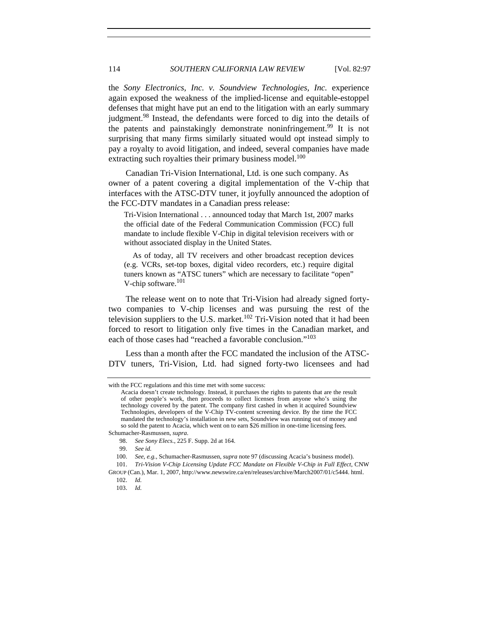the *Sony Electronics, Inc. v. Soundview Technologies, Inc.* experience again exposed the weakness of the implied-license and equitable-estoppel defenses that might have put an end to the litigation with an early summary judgment.<sup>98</sup> Instead, the defendants were forced to dig into the details of the patents and painstakingly demonstrate noninfringement.<sup>99</sup> It is not surprising that many firms similarly situated would opt instead simply to pay a royalty to avoid litigation, and indeed, several companies have made extracting such royalties their primary business model.<sup>100</sup>

Canadian Tri-Vision International, Ltd. is one such company. As owner of a patent covering a digital implementation of the V-chip that interfaces with the ATSC-DTV tuner, it joyfully announced the adoption of the FCC-DTV mandates in a Canadian press release:

Tri-Vision International . . . announced today that March 1st, 2007 marks the official date of the Federal Communication Commission (FCC) full mandate to include flexible V-Chip in digital television receivers with or without associated display in the United States.

 As of today, all TV receivers and other broadcast reception devices (e.g. VCRs, set-top boxes, digital video recorders, etc.) require digital tuners known as "ATSC tuners" which are necessary to facilitate "open" V-chip software.<sup>101</sup>

The release went on to note that Tri-Vision had already signed fortytwo companies to V-chip licenses and was pursuing the rest of the television suppliers to the U.S. market.<sup>102</sup> Tri-Vision noted that it had been forced to resort to litigation only five times in the Canadian market, and each of those cases had "reached a favorable conclusion."<sup>103</sup>

Less than a month after the FCC mandated the inclusion of the ATSC-DTV tuners, Tri-Vision, Ltd. had signed forty-two licensees and had

Schumacher-Rasmussen, *supra*.

with the FCC regulations and this time met with some success:

Acacia doesn't create technology. Instead, it purchases the rights to patents that are the result of other people's work, then proceeds to collect licenses from anyone who's using the technology covered by the patent. The company first cashed in when it acquired Soundview Technologies, developers of the V-Chip TV-content screening device. By the time the FCC mandated the technology's installation in new sets, Soundview was running out of money and so sold the patent to Acacia, which went on to earn \$26 million in one-time licensing fees.

 <sup>98.</sup> *See Sony Elecs.*, 225 F. Supp. 2d at 164.

 <sup>99.</sup> *See id.* 

<sup>100.</sup> *See, e.g.*, Schumacher-Rasmussen, *supra* note 97 (discussing Acacia's business model).

 <sup>101.</sup> *Tri-Vision V-Chip Licensing Update FCC Mandate on Flexible V-Chip in Full Effect*, CNW GROUP (Can.), Mar. 1, 2007, http://www.newswire.ca/en/releases/archive/March2007/01/c5444. html.

 <sup>102.</sup> *Id.*

<sup>103.</sup> *Id.*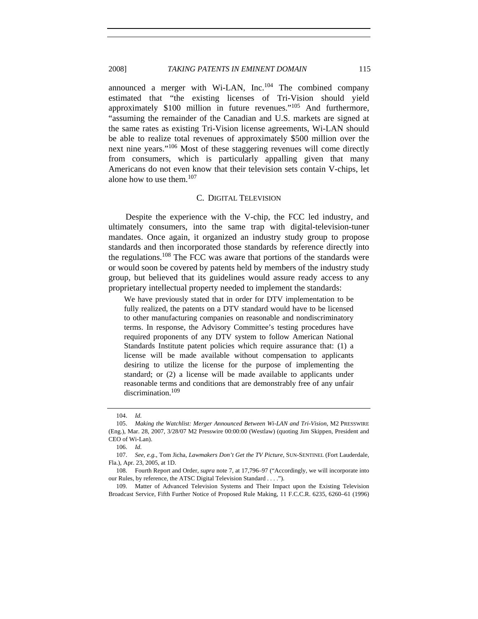### 2008] *TAKING PATENTS IN EMINENT DOMAIN* 115

announced a merger with Wi-LAN,  $Inc$ <sup>104</sup> The combined company estimated that "the existing licenses of Tri-Vision should yield approximately \$100 million in future revenues."105 And furthermore, "assuming the remainder of the Canadian and U.S. markets are signed at the same rates as existing Tri-Vision license agreements, Wi-LAN should be able to realize total revenues of approximately \$500 million over the next nine years."106 Most of these staggering revenues will come directly from consumers, which is particularly appalling given that many Americans do not even know that their television sets contain V-chips, let alone how to use them.<sup>107</sup>

#### C. DIGITAL TELEVISION

Despite the experience with the V-chip, the FCC led industry, and ultimately consumers, into the same trap with digital-television-tuner mandates. Once again, it organized an industry study group to propose standards and then incorporated those standards by reference directly into the regulations.<sup>108</sup> The FCC was aware that portions of the standards were or would soon be covered by patents held by members of the industry study group, but believed that its guidelines would assure ready access to any proprietary intellectual property needed to implement the standards:

We have previously stated that in order for DTV implementation to be fully realized, the patents on a DTV standard would have to be licensed to other manufacturing companies on reasonable and nondiscriminatory terms. In response, the Advisory Committee's testing procedures have required proponents of any DTV system to follow American National Standards Institute patent policies which require assurance that: (1) a license will be made available without compensation to applicants desiring to utilize the license for the purpose of implementing the standard; or (2) a license will be made available to applicants under reasonable terms and conditions that are demonstrably free of any unfair discrimination.<sup>109</sup>

 109. Matter of Advanced Television Systems and Their Impact upon the Existing Television Broadcast Service, Fifth Further Notice of Proposed Rule Making, 11 F.C.C.R. 6235, 6260–61 (1996)

 <sup>104.</sup> *Id.*

<sup>105.</sup> *Making the Watchlist: Merger Announced Between Wi-LAN and Tri-Vision*, M2 PRESSWIRE (Eng.), Mar. 28, 2007, 3/28/07 M2 Presswire 00:00:00 (Westlaw) (quoting Jim Skippen, President and CEO of Wi-Lan).

<sup>106.</sup> *Id.*

<sup>107.</sup> *See, e.g.*, Tom Jicha, *Lawmakers Don't Get the TV Picture*, SUN-SENTINEL (Fort Lauderdale, Fla.), Apr. 23, 2005, at 1D.

 <sup>108.</sup> Fourth Report and Order, *supra* note 7, at 17,796–97 ("Accordingly, we will incorporate into our Rules, by reference, the ATSC Digital Television Standard . . . .").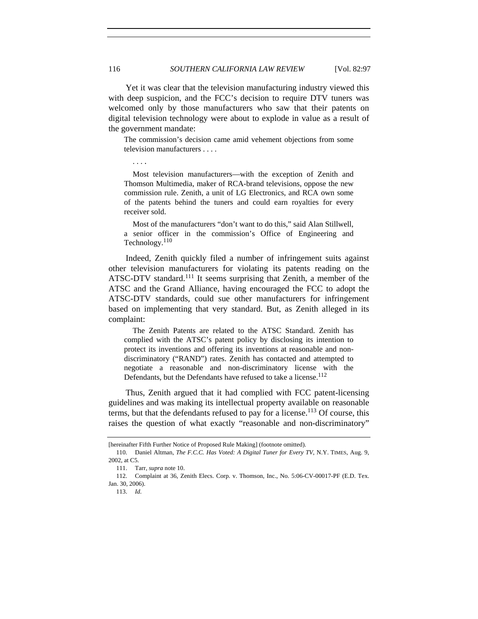Yet it was clear that the television manufacturing industry viewed this with deep suspicion, and the FCC's decision to require DTV tuners was welcomed only by those manufacturers who saw that their patents on digital television technology were about to explode in value as a result of the government mandate:

The commission's decision came amid vehement objections from some television manufacturers . . . .

. . . .

 Most television manufacturers—with the exception of Zenith and Thomson Multimedia, maker of RCA-brand televisions, oppose the new commission rule. Zenith, a unit of LG Electronics, and RCA own some of the patents behind the tuners and could earn royalties for every receiver sold.

 Most of the manufacturers "don't want to do this," said Alan Stillwell, a senior officer in the commission's Office of Engineering and Technology.<sup>110</sup>

Indeed, Zenith quickly filed a number of infringement suits against other television manufacturers for violating its patents reading on the ATSC-DTV standard.<sup>111</sup> It seems surprising that Zenith, a member of the ATSC and the Grand Alliance, having encouraged the FCC to adopt the ATSC-DTV standards, could sue other manufacturers for infringement based on implementing that very standard. But, as Zenith alleged in its complaint:

 The Zenith Patents are related to the ATSC Standard. Zenith has complied with the ATSC's patent policy by disclosing its intention to protect its inventions and offering its inventions at reasonable and nondiscriminatory ("RAND") rates. Zenith has contacted and attempted to negotiate a reasonable and non-discriminatory license with the Defendants, but the Defendants have refused to take a license.<sup>112</sup>

Thus, Zenith argued that it had complied with FCC patent-licensing guidelines and was making its intellectual property available on reasonable terms, but that the defendants refused to pay for a license.<sup>113</sup> Of course, this raises the question of what exactly "reasonable and non-discriminatory"

<sup>[</sup>hereinafter Fifth Further Notice of Proposed Rule Making] (footnote omitted).

 <sup>110.</sup> Daniel Altman, *The F.C.C. Has Voted: A Digital Tuner for Every TV*, N.Y. TIMES, Aug. 9, 2002, at C5.

 <sup>111.</sup> Tarr, *supra* note 10.

 <sup>112.</sup> Complaint at 36, Zenith Elecs. Corp. v. Thomson, Inc., No. 5:06-CV-00017-PF (E.D. Tex. Jan. 30, 2006).

 <sup>113.</sup> *Id.*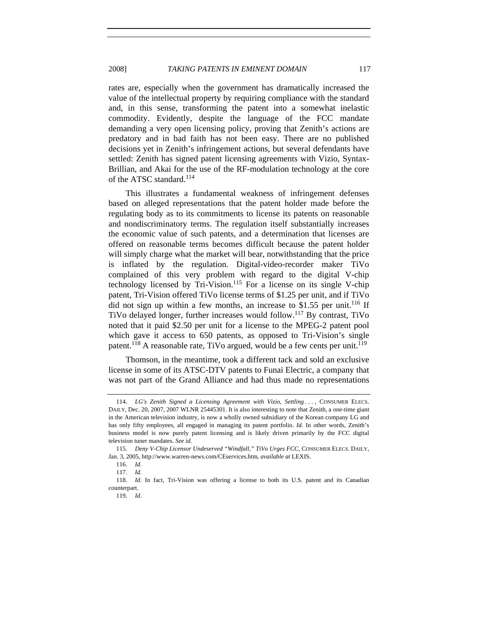rates are, especially when the government has dramatically increased the value of the intellectual property by requiring compliance with the standard and, in this sense, transforming the patent into a somewhat inelastic commodity. Evidently, despite the language of the FCC mandate demanding a very open licensing policy, proving that Zenith's actions are predatory and in bad faith has not been easy. There are no published decisions yet in Zenith's infringement actions, but several defendants have settled: Zenith has signed patent licensing agreements with Vizio, Syntax-Brillian, and Akai for the use of the RF-modulation technology at the core of the ATSC standard.<sup>114</sup>

This illustrates a fundamental weakness of infringement defenses based on alleged representations that the patent holder made before the regulating body as to its commitments to license its patents on reasonable and nondiscriminatory terms. The regulation itself substantially increases the economic value of such patents, and a determination that licenses are offered on reasonable terms becomes difficult because the patent holder will simply charge what the market will bear, notwithstanding that the price is inflated by the regulation. Digital-video-recorder maker TiVo complained of this very problem with regard to the digital V-chip technology licensed by Tri-Vision.<sup>115</sup> For a license on its single V-chip patent, Tri-Vision offered TiVo license terms of \$1.25 per unit, and if TiVo did not sign up within a few months, an increase to  $$1.55$  per unit.<sup>116</sup> If TiVo delayed longer, further increases would follow.117 By contrast, TiVo noted that it paid \$2.50 per unit for a license to the MPEG-2 patent pool which gave it access to 650 patents, as opposed to Tri-Vision's single patent.<sup>118</sup> A reasonable rate, TiVo argued, would be a few cents per unit.<sup>119</sup>

Thomson, in the meantime, took a different tack and sold an exclusive license in some of its ATSC-DTV patents to Funai Electric, a company that was not part of the Grand Alliance and had thus made no representations

<sup>114.</sup> *LG's Zenith Signed a Licensing Agreement with Vizio, Settling ...*, CONSUMER ELECS. DAILY, Dec. 20, 2007, 2007 WLNR 25445301. It is also interesting to note that Zenith, a one-time giant in the American television industry, is now a wholly owned subsidiary of the Korean company LG and has only fifty employees, all engaged in managing its patent portfolio. *Id.* In other words, Zenith's business model is now purely patent licensing and is likely driven primarily by the FCC digital television tuner mandates. *See id.*

 <sup>115.</sup> *Deny V-Chip Licensor Undeserved "Windfall," TiVo Urges FCC*, CONSUMER ELECS. DAILY, Jan. 3, 2005, http://www.warren-news.com/CEservices.htm, *available at* LEXIS.

 <sup>116.</sup> *Id.*

<sup>117.</sup> *Id.*

<sup>118.</sup> *Id*. In fact, Tri-Vision was offering a license to both its U.S. patent and its Canadian counterpart.

<sup>119.</sup> *Id*.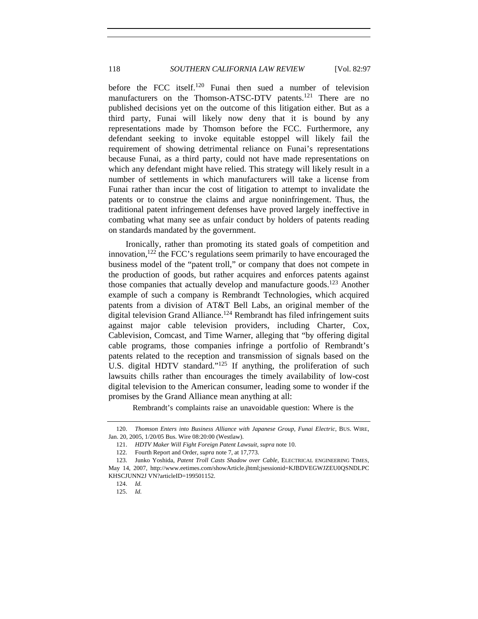before the FCC itself.120 Funai then sued a number of television manufacturers on the Thomson-ATSC-DTV patents.<sup>121</sup> There are no published decisions yet on the outcome of this litigation either. But as a third party, Funai will likely now deny that it is bound by any representations made by Thomson before the FCC. Furthermore, any defendant seeking to invoke equitable estoppel will likely fail the requirement of showing detrimental reliance on Funai's representations because Funai, as a third party, could not have made representations on which any defendant might have relied. This strategy will likely result in a number of settlements in which manufacturers will take a license from Funai rather than incur the cost of litigation to attempt to invalidate the patents or to construe the claims and argue noninfringement. Thus, the traditional patent infringement defenses have proved largely ineffective in combating what many see as unfair conduct by holders of patents reading on standards mandated by the government.

Ironically, rather than promoting its stated goals of competition and innovation, $122$  the FCC's regulations seem primarily to have encouraged the business model of the "patent troll," or company that does not compete in the production of goods, but rather acquires and enforces patents against those companies that actually develop and manufacture goods.<sup>123</sup> Another example of such a company is Rembrandt Technologies, which acquired patents from a division of AT&T Bell Labs, an original member of the digital television Grand Alliance.<sup>124</sup> Rembrandt has filed infringement suits against major cable television providers, including Charter, Cox, Cablevision, Comcast, and Time Warner, alleging that "by offering digital cable programs, those companies infringe a portfolio of Rembrandt's patents related to the reception and transmission of signals based on the U.S. digital HDTV standard."<sup>125</sup> If anything, the proliferation of such lawsuits chills rather than encourages the timely availability of low-cost digital television to the American consumer, leading some to wonder if the promises by the Grand Alliance mean anything at all:

Rembrandt's complaints raise an unavoidable question: Where is the

<sup>120.</sup> *Thomson Enters into Business Alliance with Japanese Group, Funai Electric*, BUS. WIRE, Jan. 20, 2005, 1/20/05 Bus. Wire 08:20:00 (Westlaw).

<sup>121.</sup> *HDTV Maker Will Fight Foreign Patent Lawsuit*, *supra* note 10.

 <sup>122.</sup> Fourth Report and Order, *supra* note 7, at 17,773.

 <sup>123.</sup> Junko Yoshida, *Patent Troll Casts Shadow over Cable*, ELECTRICAL ENGINEERING TIMES, May 14, 2007, http://www.eetimes.com/showArticle.jhtml;jsessionid=KJBDVEGWJZEU0QSNDLPC KHSCJUNN2J VN?articleID=199501152.

 <sup>124.</sup> *Id.*

 <sup>125.</sup> *Id.*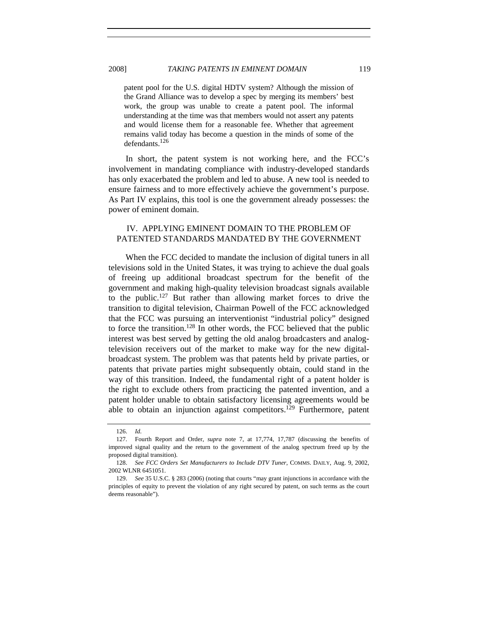patent pool for the U.S. digital HDTV system? Although the mission of the Grand Alliance was to develop a spec by merging its members' best work, the group was unable to create a patent pool. The informal understanding at the time was that members would not assert any patents and would license them for a reasonable fee. Whether that agreement remains valid today has become a question in the minds of some of the defendants.<sup>126</sup>

In short, the patent system is not working here, and the FCC's involvement in mandating compliance with industry-developed standards has only exacerbated the problem and led to abuse. A new tool is needed to ensure fairness and to more effectively achieve the government's purpose. As Part IV explains, this tool is one the government already possesses: the power of eminent domain.

# IV. APPLYING EMINENT DOMAIN TO THE PROBLEM OF PATENTED STANDARDS MANDATED BY THE GOVERNMENT

When the FCC decided to mandate the inclusion of digital tuners in all televisions sold in the United States, it was trying to achieve the dual goals of freeing up additional broadcast spectrum for the benefit of the government and making high-quality television broadcast signals available to the public.127 But rather than allowing market forces to drive the transition to digital television, Chairman Powell of the FCC acknowledged that the FCC was pursuing an interventionist "industrial policy" designed to force the transition.<sup>128</sup> In other words, the FCC believed that the public interest was best served by getting the old analog broadcasters and analogtelevision receivers out of the market to make way for the new digitalbroadcast system. The problem was that patents held by private parties, or patents that private parties might subsequently obtain, could stand in the way of this transition. Indeed, the fundamental right of a patent holder is the right to exclude others from practicing the patented invention, and a patent holder unable to obtain satisfactory licensing agreements would be able to obtain an injunction against competitors.<sup>129</sup> Furthermore, patent

 <sup>126.</sup> *Id.*

 <sup>127.</sup> Fourth Report and Order, *supra* note 7, at 17,774, 17,787 (discussing the benefits of improved signal quality and the return to the government of the analog spectrum freed up by the proposed digital transition).

<sup>128.</sup> *See FCC Orders Set Manufacturers to Include DTV Tuner*, COMMS. DAILY, Aug. 9, 2002, 2002 WLNR 6451051.

 <sup>129.</sup> *See* 35 U.S.C. § 283 (2006) (noting that courts "may grant injunctions in accordance with the principles of equity to prevent the violation of any right secured by patent, on such terms as the court deems reasonable").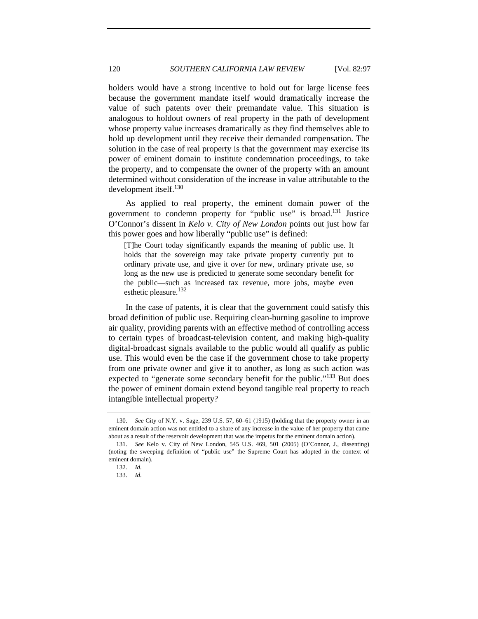holders would have a strong incentive to hold out for large license fees because the government mandate itself would dramatically increase the value of such patents over their premandate value. This situation is analogous to holdout owners of real property in the path of development whose property value increases dramatically as they find themselves able to hold up development until they receive their demanded compensation. The solution in the case of real property is that the government may exercise its power of eminent domain to institute condemnation proceedings, to take the property, and to compensate the owner of the property with an amount determined without consideration of the increase in value attributable to the development itself.<sup>130</sup>

As applied to real property, the eminent domain power of the government to condemn property for "public use" is broad.131 Justice O'Connor's dissent in *Kelo v. City of New London* points out just how far this power goes and how liberally "public use" is defined:

[T]he Court today significantly expands the meaning of public use. It holds that the sovereign may take private property currently put to ordinary private use, and give it over for new, ordinary private use, so long as the new use is predicted to generate some secondary benefit for the public—such as increased tax revenue, more jobs, maybe even esthetic pleasure.<sup>132</sup>

In the case of patents, it is clear that the government could satisfy this broad definition of public use. Requiring clean-burning gasoline to improve air quality, providing parents with an effective method of controlling access to certain types of broadcast-television content, and making high-quality digital-broadcast signals available to the public would all qualify as public use. This would even be the case if the government chose to take property from one private owner and give it to another, as long as such action was expected to "generate some secondary benefit for the public."<sup>133</sup> But does the power of eminent domain extend beyond tangible real property to reach intangible intellectual property?

<sup>130.</sup> *See* City of N.Y. v. Sage, 239 U.S. 57, 60–61 (1915) (holding that the property owner in an eminent domain action was not entitled to a share of any increase in the value of her property that came about as a result of the reservoir development that was the impetus for the eminent domain action).

 <sup>131.</sup> *See* Kelo v. City of New London, 545 U.S. 469, 501 (2005) (O'Connor, J., dissenting) (noting the sweeping definition of "public use" the Supreme Court has adopted in the context of eminent domain).

 <sup>132.</sup> *Id.*

 <sup>133.</sup> *Id.*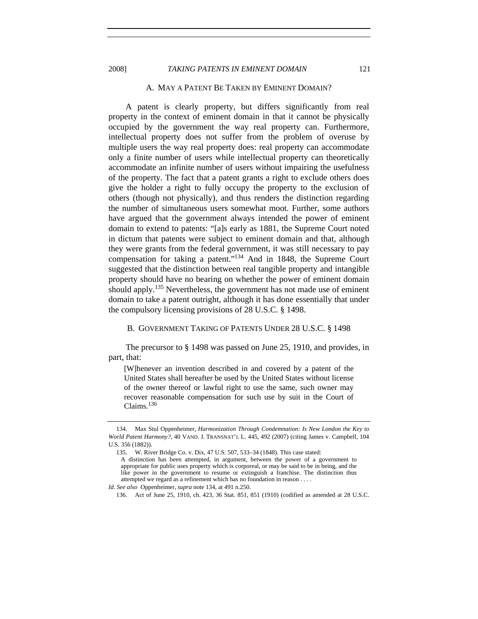#### 2008] *TAKING PATENTS IN EMINENT DOMAIN* 121

#### A. MAY A PATENT BE TAKEN BY EMINENT DOMAIN?

A patent is clearly property, but differs significantly from real property in the context of eminent domain in that it cannot be physically occupied by the government the way real property can. Furthermore, intellectual property does not suffer from the problem of overuse by multiple users the way real property does: real property can accommodate only a finite number of users while intellectual property can theoretically accommodate an infinite number of users without impairing the usefulness of the property. The fact that a patent grants a right to exclude others does give the holder a right to fully occupy the property to the exclusion of others (though not physically), and thus renders the distinction regarding the number of simultaneous users somewhat moot. Further, some authors have argued that the government always intended the power of eminent domain to extend to patents: "[a]s early as 1881, the Supreme Court noted in dictum that patents were subject to eminent domain and that, although they were grants from the federal government, it was still necessary to pay compensation for taking a patent."134 And in 1848, the Supreme Court suggested that the distinction between real tangible property and intangible property should have no bearing on whether the power of eminent domain should apply.<sup>135</sup> Nevertheless, the government has not made use of eminent domain to take a patent outright, although it has done essentially that under the compulsory licensing provisions of 28 U.S.C. § 1498.

#### B. GOVERNMENT TAKING OF PATENTS UNDER 28 U.S.C. § 1498

The precursor to § 1498 was passed on June 25, 1910, and provides, in part, that:

[W]henever an invention described in and covered by a patent of the United States shall hereafter be used by the United States without license of the owner thereof or lawful right to use the same, such owner may recover reasonable compensation for such use by suit in the Court of Claims.<sup>136</sup>

 <sup>134.</sup> Max Stul Oppenheimer, *Harmonization Through Condemnation: Is New London the Key to World Patent Harmony?*, 40 VAND. J. TRANSNAT'L L. 445, 492 (2007) (citing James v. Campbell, 104 U.S. 356 (1882)).

 <sup>135.</sup> W. River Bridge Co. v. Dix, 47 U.S. 507, 533–34 (1848). This case stated: A distinction has been attempted, in argument, between the power of a government to appropriate for public uses property which is corporeal, or may be said to be in being, and the like power in the government to resume or extinguish a franchise. The distinction thus attempted we regard as a refinement which has no foundation in reason . . . .

*Id*. *See also* Oppenheimer, *supra* note 134, at 491 n.250.

 <sup>136.</sup> Act of June 25, 1910, ch. 423, 36 Stat. 851, 851 (1910) (codified as amended at 28 U.S.C.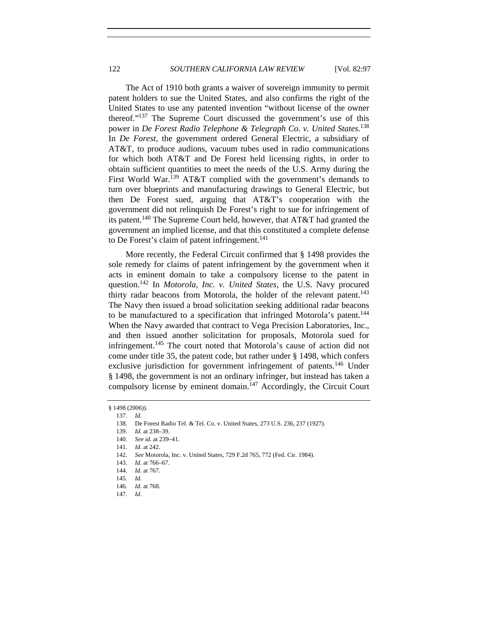The Act of 1910 both grants a waiver of sovereign immunity to permit patent holders to sue the United States, and also confirms the right of the United States to use any patented invention "without license of the owner thereof."137 The Supreme Court discussed the government's use of this power in *De Forest Radio Telephone & Telegraph Co. v. United States*. 138 In *De Forest*, the government ordered General Electric, a subsidiary of AT&T, to produce audions, vacuum tubes used in radio communications for which both AT&T and De Forest held licensing rights, in order to obtain sufficient quantities to meet the needs of the U.S. Army during the First World War.<sup>139</sup> AT&T complied with the government's demands to turn over blueprints and manufacturing drawings to General Electric, but then De Forest sued, arguing that AT&T's cooperation with the government did not relinquish De Forest's right to sue for infringement of its patent.<sup>140</sup> The Supreme Court held, however, that AT&T had granted the government an implied license, and that this constituted a complete defense to De Forest's claim of patent infringement.<sup>141</sup>

More recently, the Federal Circuit confirmed that § 1498 provides the sole remedy for claims of patent infringement by the government when it acts in eminent domain to take a compulsory license to the patent in question.142 In *Motorola, Inc. v. United States*, the U.S. Navy procured thirty radar beacons from Motorola, the holder of the relevant patent.<sup>143</sup> The Navy then issued a broad solicitation seeking additional radar beacons to be manufactured to a specification that infringed Motorola's patent.<sup>144</sup> When the Navy awarded that contract to Vega Precision Laboratories, Inc., and then issued another solicitation for proposals, Motorola sued for infringement.145 The court noted that Motorola's cause of action did not come under title 35, the patent code, but rather under § 1498, which confers exclusive jurisdiction for government infringement of patents.<sup>146</sup> Under § 1498, the government is not an ordinary infringer, but instead has taken a compulsory license by eminent domain.<sup>147</sup> Accordingly, the Circuit Court

<sup>§ 1498 (2006)).</sup> 

 <sup>137.</sup> *Id.*

 <sup>138.</sup> De Forest Radio Tel. & Tel. Co. v. United States, 273 U.S. 236, 237 (1927).

<sup>139.</sup> *Id.* at 238–39.

<sup>140.</sup> *See id.* at 239–41.

<sup>141.</sup> *Id*. at 242.

 <sup>142.</sup> *See* Motorola, Inc. v. United States, 729 F.2d 765, 772 (Fed. Cir. 1984).

<sup>143.</sup> *Id.* at 766–67.

<sup>144.</sup> *Id.* at 767.

 <sup>145.</sup> *Id.*

<sup>146.</sup> *Id.* at 768.

<sup>147.</sup> *Id.*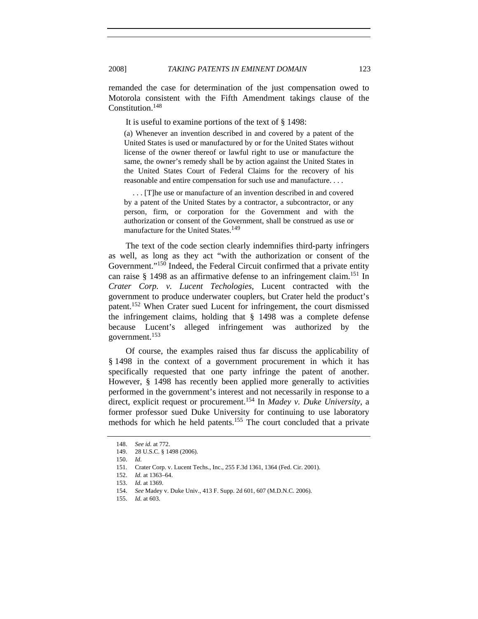remanded the case for determination of the just compensation owed to Motorola consistent with the Fifth Amendment takings clause of the Constitution.148

It is useful to examine portions of the text of § 1498:

(a) Whenever an invention described in and covered by a patent of the United States is used or manufactured by or for the United States without license of the owner thereof or lawful right to use or manufacture the same, the owner's remedy shall be by action against the United States in the United States Court of Federal Claims for the recovery of his reasonable and entire compensation for such use and manufacture. . . .

 . . . [T]he use or manufacture of an invention described in and covered by a patent of the United States by a contractor, a subcontractor, or any person, firm, or corporation for the Government and with the authorization or consent of the Government, shall be construed as use or manufacture for the United States.<sup>149</sup>

The text of the code section clearly indemnifies third-party infringers as well, as long as they act "with the authorization or consent of the Government."<sup>150</sup> Indeed, the Federal Circuit confirmed that a private entity can raise  $\frac{151}{10}$  as an affirmative defense to an infringement claim.<sup>151</sup> In *Crater Corp. v. Lucent Techologies*, Lucent contracted with the government to produce underwater couplers, but Crater held the product's patent.152 When Crater sued Lucent for infringement, the court dismissed the infringement claims, holding that § 1498 was a complete defense because Lucent's alleged infringement was authorized by the government.<sup>153</sup>

Of course, the examples raised thus far discuss the applicability of § 1498 in the context of a government procurement in which it has specifically requested that one party infringe the patent of another. However, § 1498 has recently been applied more generally to activities performed in the government's interest and not necessarily in response to a direct, explicit request or procurement.154 In *Madey v. Duke University*, a former professor sued Duke University for continuing to use laboratory methods for which he held patents.155 The court concluded that a private

<sup>148.</sup> *See id.* at 772.

 <sup>149. 28</sup> U.S.C. § 1498 (2006).

 <sup>150.</sup> *Id.*

 <sup>151.</sup> Crater Corp. v. Lucent Techs., Inc., 255 F.3d 1361, 1364 (Fed. Cir. 2001).

 <sup>152.</sup> *Id.* at 1363–64.

<sup>153.</sup> *Id.* at 1369.

<sup>154.</sup> *See* Madey v. Duke Univ., 413 F. Supp. 2d 601, 607 (M.D.N.C. 2006).

<sup>155.</sup> *Id.* at 603.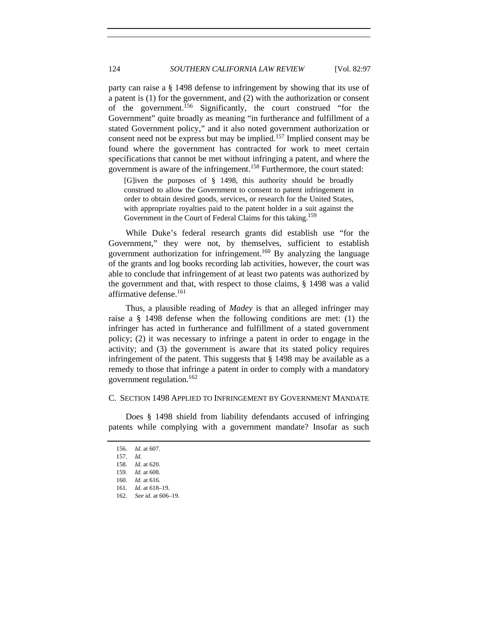party can raise a § 1498 defense to infringement by showing that its use of a patent is (1) for the government, and (2) with the authorization or consent of the government.156 Significantly, the court construed "for the Government" quite broadly as meaning "in furtherance and fulfillment of a stated Government policy," and it also noted government authorization or consent need not be express but may be implied.157 Implied consent may be found where the government has contracted for work to meet certain specifications that cannot be met without infringing a patent, and where the government is aware of the infringement.158 Furthermore, the court stated:

[G]iven the purposes of § 1498, this authority should be broadly construed to allow the Government to consent to patent infringement in order to obtain desired goods, services, or research for the United States, with appropriate royalties paid to the patent holder in a suit against the Government in the Court of Federal Claims for this taking.<sup>159</sup>

While Duke's federal research grants did establish use "for the Government," they were not, by themselves, sufficient to establish government authorization for infringement.160 By analyzing the language of the grants and log books recording lab activities, however, the court was able to conclude that infringement of at least two patents was authorized by the government and that, with respect to those claims, § 1498 was a valid affirmative defense.<sup>161</sup>

Thus, a plausible reading of *Madey* is that an alleged infringer may raise a § 1498 defense when the following conditions are met: (1) the infringer has acted in furtherance and fulfillment of a stated government policy; (2) it was necessary to infringe a patent in order to engage in the activity; and (3) the government is aware that its stated policy requires infringement of the patent. This suggests that § 1498 may be available as a remedy to those that infringe a patent in order to comply with a mandatory government regulation.162

#### C. SECTION 1498 APPLIED TO INFRINGEMENT BY GOVERNMENT MANDATE

Does § 1498 shield from liability defendants accused of infringing patents while complying with a government mandate? Insofar as such

<sup>156.</sup> *Id.* at 607.

<sup>157.</sup> *Id.*

<sup>158.</sup> *Id.* at 620.

<sup>159.</sup> *Id*. at 608.

<sup>160.</sup> *Id.* at 616.

<sup>161.</sup> *Id.* at 618–19.

 <sup>162.</sup> *See id.* at 606–19.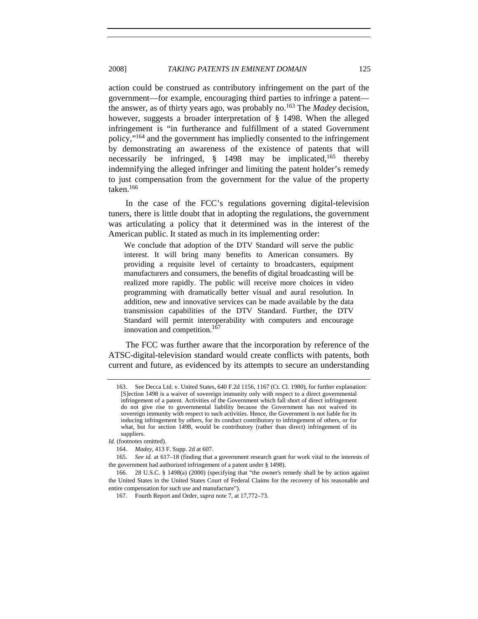action could be construed as contributory infringement on the part of the government—for example, encouraging third parties to infringe a patent the answer, as of thirty years ago, was probably no.163 The *Madey* decision, however, suggests a broader interpretation of § 1498. When the alleged infringement is "in furtherance and fulfillment of a stated Government policy,"164 and the government has impliedly consented to the infringement by demonstrating an awareness of the existence of patents that will necessarily be infringed,  $\S$  1498 may be implicated,<sup>165</sup> thereby indemnifying the alleged infringer and limiting the patent holder's remedy to just compensation from the government for the value of the property taken.<sup>166</sup>

In the case of the FCC's regulations governing digital-television tuners, there is little doubt that in adopting the regulations, the government was articulating a policy that it determined was in the interest of the American public. It stated as much in its implementing order:

We conclude that adoption of the DTV Standard will serve the public interest. It will bring many benefits to American consumers. By providing a requisite level of certainty to broadcasters, equipment manufacturers and consumers, the benefits of digital broadcasting will be realized more rapidly. The public will receive more choices in video programming with dramatically better visual and aural resolution. In addition, new and innovative services can be made available by the data transmission capabilities of the DTV Standard. Further, the DTV Standard will permit interoperability with computers and encourage innovation and competition.<sup>167</sup>

The FCC was further aware that the incorporation by reference of the ATSC-digital-television standard would create conflicts with patents, both current and future, as evidenced by its attempts to secure an understanding

<sup>163.</sup> See Decca Ltd. v. United States, 640 F.2d 1156, 1167 (Ct. Cl. 1980), for further explanation: [S]ection 1498 is a waiver of sovereign immunity only with respect to a direct governmental infringement of a patent. Activities of the Government which fall short of direct infringement do not give rise to governmental liability because the Government has not waived its sovereign immunity with respect to such activities. Hence, the Government is not liable for its inducing infringement by others, for its conduct contributory to infringement of others, or for what, but for section 1498, would be contributory (rather than direct) infringement of its suppliers.

*Id.* (footnotes omitted).

<sup>164.</sup> *Madey*, 413 F. Supp. 2d at 607.

 <sup>165.</sup> *See id.* at 617–18 (finding that a government research grant for work vital to the interests of the government had authorized infringement of a patent under § 1498).

 <sup>166. 28</sup> U.S.C. § 1498(a) (2000) (specifying that "the owner's remedy shall be by action against the United States in the United States Court of Federal Claims for the recovery of his reasonable and entire compensation for such use and manufacture").

 <sup>167.</sup> Fourth Report and Order, *supra* note 7, at 17,772–73.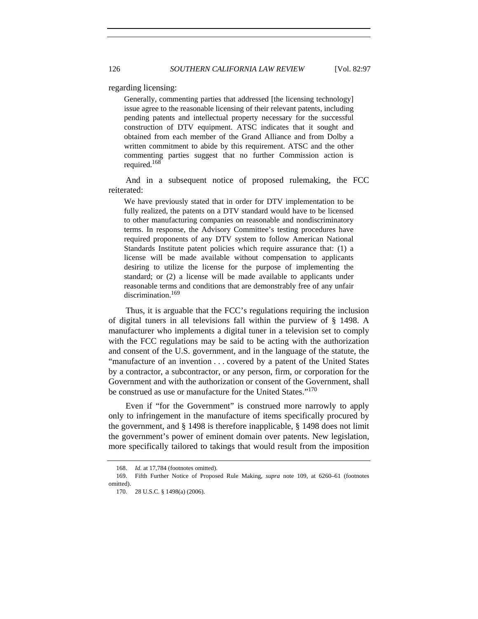regarding licensing:

Generally, commenting parties that addressed [the licensing technology] issue agree to the reasonable licensing of their relevant patents, including pending patents and intellectual property necessary for the successful construction of DTV equipment. ATSC indicates that it sought and obtained from each member of the Grand Alliance and from Dolby a written commitment to abide by this requirement. ATSC and the other commenting parties suggest that no further Commission action is required.<sup>168</sup>

And in a subsequent notice of proposed rulemaking, the FCC reiterated:

We have previously stated that in order for DTV implementation to be fully realized, the patents on a DTV standard would have to be licensed to other manufacturing companies on reasonable and nondiscriminatory terms. In response, the Advisory Committee's testing procedures have required proponents of any DTV system to follow American National Standards Institute patent policies which require assurance that: (1) a license will be made available without compensation to applicants desiring to utilize the license for the purpose of implementing the standard; or (2) a license will be made available to applicants under reasonable terms and conditions that are demonstrably free of any unfair discrimination.<sup>169</sup>

Thus, it is arguable that the FCC's regulations requiring the inclusion of digital tuners in all televisions fall within the purview of § 1498. A manufacturer who implements a digital tuner in a television set to comply with the FCC regulations may be said to be acting with the authorization and consent of the U.S. government, and in the language of the statute, the "manufacture of an invention . . . covered by a patent of the United States by a contractor, a subcontractor, or any person, firm, or corporation for the Government and with the authorization or consent of the Government, shall be construed as use or manufacture for the United States."<sup>170</sup>

Even if "for the Government" is construed more narrowly to apply only to infringement in the manufacture of items specifically procured by the government, and  $\S$  1498 is therefore inapplicable,  $\S$  1498 does not limit the government's power of eminent domain over patents. New legislation, more specifically tailored to takings that would result from the imposition

<sup>168.</sup> *Id.* at 17,784 (footnotes omitted).

 <sup>169.</sup> Fifth Further Notice of Proposed Rule Making, *supra* note 109, at 6260–61 (footnotes omitted).

 <sup>170. 28</sup> U.S.C. § 1498(a) (2006).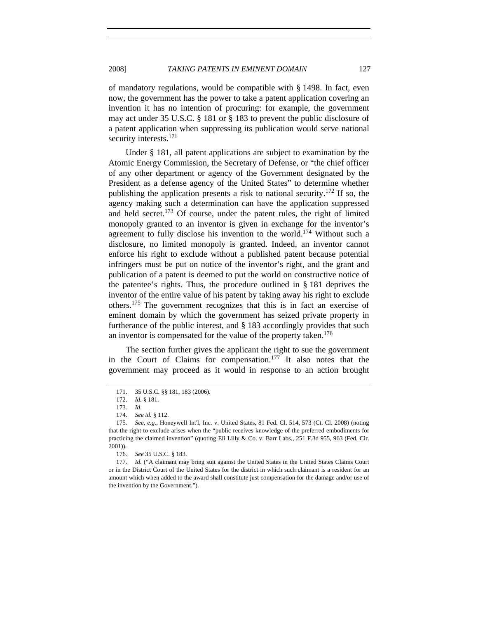of mandatory regulations, would be compatible with  $\S$  1498. In fact, even now, the government has the power to take a patent application covering an invention it has no intention of procuring: for example, the government may act under 35 U.S.C. § 181 or § 183 to prevent the public disclosure of a patent application when suppressing its publication would serve national security interests.<sup>171</sup>

Under § 181, all patent applications are subject to examination by the Atomic Energy Commission, the Secretary of Defense, or "the chief officer of any other department or agency of the Government designated by the President as a defense agency of the United States" to determine whether publishing the application presents a risk to national security.<sup>172</sup> If so, the agency making such a determination can have the application suppressed and held secret.<sup>173</sup> Of course, under the patent rules, the right of limited monopoly granted to an inventor is given in exchange for the inventor's agreement to fully disclose his invention to the world.<sup>174</sup> Without such a disclosure, no limited monopoly is granted. Indeed, an inventor cannot enforce his right to exclude without a published patent because potential infringers must be put on notice of the inventor's right, and the grant and publication of a patent is deemed to put the world on constructive notice of the patentee's rights. Thus, the procedure outlined in § 181 deprives the inventor of the entire value of his patent by taking away his right to exclude others.175 The government recognizes that this is in fact an exercise of eminent domain by which the government has seized private property in furtherance of the public interest, and § 183 accordingly provides that such an inventor is compensated for the value of the property taken.<sup>176</sup>

The section further gives the applicant the right to sue the government in the Court of Claims for compensation.177 It also notes that the government may proceed as it would in response to an action brought

 <sup>171. 35</sup> U.S.C. §§ 181, 183 (2006).

<sup>172.</sup> *Id.* § 181.

<sup>173.</sup> *Id.*

<sup>174.</sup> *See id.* § 112.

 <sup>175.</sup> *See, e.g.*, Honeywell Int'l, Inc. v. United States, 81 Fed. Cl. 514, 573 (Ct. Cl. 2008) (noting that the right to exclude arises when the "public receives knowledge of the preferred embodiments for practicing the claimed invention" (quoting Eli Lilly & Co. v. Barr Labs., 251 F.3d 955, 963 (Fed. Cir. 2001)).

<sup>176.</sup> *See* 35 U.S.C. § 183.

<sup>177.</sup> *Id.* ("A claimant may bring suit against the United States in the United States Claims Court or in the District Court of the United States for the district in which such claimant is a resident for an amount which when added to the award shall constitute just compensation for the damage and/or use of the invention by the Government.").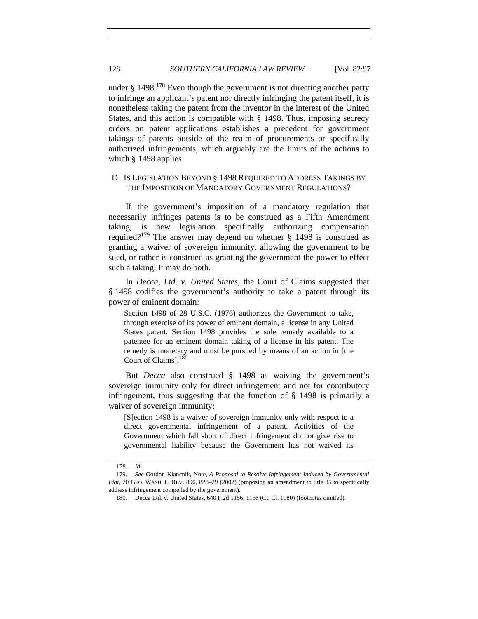under  $§$  1498.<sup>178</sup> Even though the government is not directing another party to infringe an applicant's patent nor directly infringing the patent itself, it is nonetheless taking the patent from the inventor in the interest of the United States, and this action is compatible with § 1498. Thus, imposing secrecy orders on patent applications establishes a precedent for government takings of patents outside of the realm of procurements or specifically authorized infringements, which arguably are the limits of the actions to which § 1498 applies.

# D. IS LEGISLATION BEYOND § 1498 REQUIRED TO ADDRESS TAKINGS BY THE IMPOSITION OF MANDATORY GOVERNMENT REGULATIONS?

If the government's imposition of a mandatory regulation that necessarily infringes patents is to be construed as a Fifth Amendment taking, is new legislation specifically authorizing compensation required?179 The answer may depend on whether § 1498 is construed as granting a waiver of sovereign immunity, allowing the government to be sued, or rather is construed as granting the government the power to effect such a taking. It may do both.

In *Decca, Ltd. v. United States*, the Court of Claims suggested that § 1498 codifies the government's authority to take a patent through its power of eminent domain:

Section 1498 of 28 U.S.C. (1976) authorizes the Government to take, through exercise of its power of eminent domain, a license in any United States patent. Section 1498 provides the sole remedy available to a patentee for an eminent domain taking of a license in his patent. The remedy is monetary and must be pursued by means of an action in [the Court of Claims].<sup>180</sup>

But *Decca* also construed § 1498 as waiving the government's sovereign immunity only for direct infringement and not for contributory infringement, thus suggesting that the function of § 1498 is primarily a waiver of sovereign immunity:

[S]ection 1498 is a waiver of sovereign immunity only with respect to a direct governmental infringement of a patent. Activities of the Government which fall short of direct infringement do not give rise to governmental liability because the Government has not waived its

<sup>178.</sup> *Id.*

<sup>179.</sup> *See* Gordon Klancnik, Note, *A Proposal to Resolve Infringement Induced by Governmental Fiat*, 70 GEO. WASH. L. REV. 806, 828–29 (2002) (proposing an amendment to title 35 to specifically address infringement compelled by the government).

 <sup>180.</sup> Decca Ltd. v. United States, 640 F.2d 1156, 1166 (Ct. Cl. 1980) (footnotes omitted).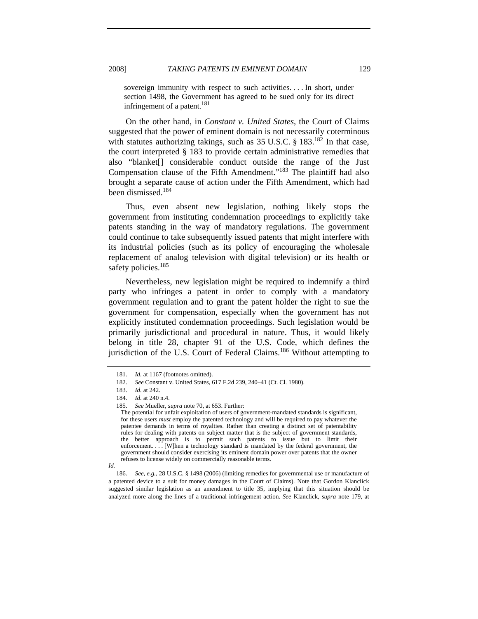sovereign immunity with respect to such activities. . . . In short, under section 1498, the Government has agreed to be sued only for its direct infringement of a patent.<sup>181</sup>

On the other hand, in *Constant v. United States*, the Court of Claims suggested that the power of eminent domain is not necessarily coterminous with statutes authorizing takings, such as  $35 \text{ U.S.C.}$  §  $183^{182}$  In that case, the court interpreted § 183 to provide certain administrative remedies that also "blanket[] considerable conduct outside the range of the Just Compensation clause of the Fifth Amendment."<sup>183</sup> The plaintiff had also brought a separate cause of action under the Fifth Amendment, which had been dismissed.184

Thus, even absent new legislation, nothing likely stops the government from instituting condemnation proceedings to explicitly take patents standing in the way of mandatory regulations. The government could continue to take subsequently issued patents that might interfere with its industrial policies (such as its policy of encouraging the wholesale replacement of analog television with digital television) or its health or safety policies.<sup>185</sup>

Nevertheless, new legislation might be required to indemnify a third party who infringes a patent in order to comply with a mandatory government regulation and to grant the patent holder the right to sue the government for compensation, especially when the government has not explicitly instituted condemnation proceedings. Such legislation would be primarily jurisdictional and procedural in nature. Thus, it would likely belong in title 28, chapter 91 of the U.S. Code, which defines the jurisdiction of the U.S. Court of Federal Claims.<sup>186</sup> Without attempting to

<sup>181.</sup> *Id.* at 1167 (footnotes omitted).

<sup>182.</sup> *See* Constant v. United States, 617 F.2d 239, 240–41 (Ct. Cl. 1980).

<sup>183.</sup> *Id.* at 242.

<sup>184.</sup> *Id.* at 240 n.4.

 <sup>185.</sup> *See* Mueller, *supra* note 70, at 653. Further:

The potential for unfair exploitation of users of government-mandated standards is significant, for these users *must* employ the patented technology and will be required to pay whatever the patentee demands in terms of royalties. Rather than creating a distinct set of patentability rules for dealing with patents on subject matter that is the subject of government standards, the better approach is to permit such patents to issue but to limit their enforcement. . . . [W]hen a technology standard is mandated by the federal government, the government should consider exercising its eminent domain power over patents that the owner refuses to license widely on commercially reasonable terms.

*Id.* 

<sup>186.</sup> *See, e.g.*, 28 U.S.C. § 1498 (2006) (limiting remedies for governmental use or manufacture of a patented device to a suit for money damages in the Court of Claims). Note that Gordon Klanclick suggested similar legislation as an amendment to title 35, implying that this situation should be analyzed more along the lines of a traditional infringement action. *See* Klanclick, *supra* note 179, at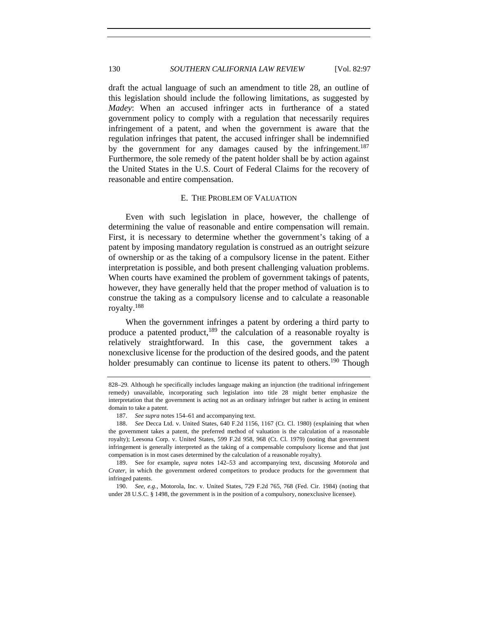draft the actual language of such an amendment to title 28, an outline of this legislation should include the following limitations, as suggested by *Madey*: When an accused infringer acts in furtherance of a stated government policy to comply with a regulation that necessarily requires infringement of a patent, and when the government is aware that the regulation infringes that patent, the accused infringer shall be indemnified by the government for any damages caused by the infringement.<sup>187</sup> Furthermore, the sole remedy of the patent holder shall be by action against the United States in the U.S. Court of Federal Claims for the recovery of reasonable and entire compensation.

#### E. THE PROBLEM OF VALUATION

Even with such legislation in place, however, the challenge of determining the value of reasonable and entire compensation will remain. First, it is necessary to determine whether the government's taking of a patent by imposing mandatory regulation is construed as an outright seizure of ownership or as the taking of a compulsory license in the patent. Either interpretation is possible, and both present challenging valuation problems. When courts have examined the problem of government takings of patents, however, they have generally held that the proper method of valuation is to construe the taking as a compulsory license and to calculate a reasonable royalty.188

When the government infringes a patent by ordering a third party to produce a patented product, $189$  the calculation of a reasonable royalty is relatively straightforward. In this case, the government takes a nonexclusive license for the production of the desired goods, and the patent holder presumably can continue to license its patent to others.<sup>190</sup> Though

<sup>828–29.</sup> Although he specifically includes language making an injunction (the traditional infringement remedy) unavailable, incorporating such legislation into title 28 might better emphasize the interpretation that the government is acting not as an ordinary infringer but rather is acting in eminent domain to take a patent.

<sup>187.</sup> *See supra* notes 154–61 and accompanying text.

<sup>188.</sup> *See* Decca Ltd. v. United States, 640 F.2d 1156, 1167 (Ct. Cl. 1980) (explaining that when the government takes a patent, the preferred method of valuation is the calculation of a reasonable royalty); Leesona Corp. v. United States, 599 F.2d 958, 968 (Ct. Cl. 1979) (noting that government infringement is generally interpreted as the taking of a compensable compulsory license and that just compensation is in most cases determined by the calculation of a reasonable royalty).

<sup>189.</sup> See for example, *supra* notes 142–53 and accompanying text, discussing *Motorola* and *Crater*, in which the government ordered competitors to produce products for the government that infringed patents.

 <sup>190.</sup> *See, e.g.*, Motorola, Inc. v. United States, 729 F.2d 765, 768 (Fed. Cir. 1984) (noting that under 28 U.S.C. § 1498, the government is in the position of a compulsory, nonexclusive licensee).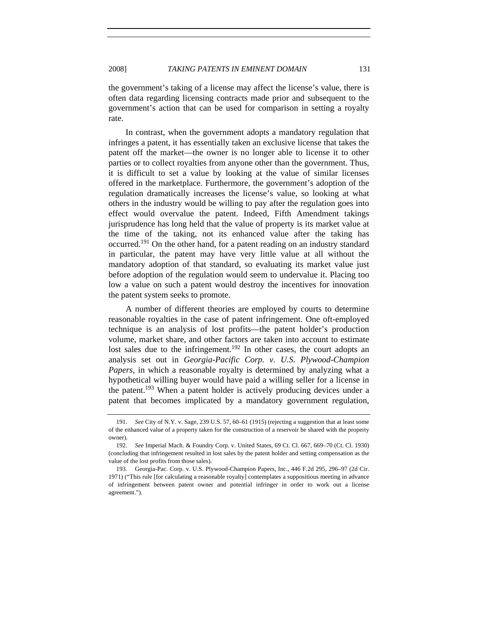the government's taking of a license may affect the license's value, there is often data regarding licensing contracts made prior and subsequent to the government's action that can be used for comparison in setting a royalty rate.

In contrast, when the government adopts a mandatory regulation that infringes a patent, it has essentially taken an exclusive license that takes the patent off the market—the owner is no longer able to license it to other parties or to collect royalties from anyone other than the government. Thus, it is difficult to set a value by looking at the value of similar licenses offered in the marketplace. Furthermore, the government's adoption of the regulation dramatically increases the license's value, so looking at what others in the industry would be willing to pay after the regulation goes into effect would overvalue the patent. Indeed, Fifth Amendment takings jurisprudence has long held that the value of property is its market value at the time of the taking, not its enhanced value after the taking has occurred.<sup>191</sup> On the other hand, for a patent reading on an industry standard in particular, the patent may have very little value at all without the mandatory adoption of that standard, so evaluating its market value just before adoption of the regulation would seem to undervalue it. Placing too low a value on such a patent would destroy the incentives for innovation the patent system seeks to promote.

A number of different theories are employed by courts to determine reasonable royalties in the case of patent infringement. One oft-employed technique is an analysis of lost profits—the patent holder's production volume, market share, and other factors are taken into account to estimate lost sales due to the infringement.<sup>192</sup> In other cases, the court adopts an analysis set out in *Georgia-Pacific Corp. v. U.S. Plywood-Champion Papers*, in which a reasonable royalty is determined by analyzing what a hypothetical willing buyer would have paid a willing seller for a license in the patent.<sup>193</sup> When a patent holder is actively producing devices under a patent that becomes implicated by a mandatory government regulation,

<sup>191.</sup> *See* City of N.Y. v. Sage, 239 U.S. 57, 60–61 (1915) (rejecting a suggestion that at least some of the enhanced value of a property taken for the construction of a reservoir be shared with the property owner).

 <sup>192.</sup> *See* Imperial Mach. & Foundry Corp. v. United States, 69 Ct. Cl. 667, 669–70 (Ct. Cl. 1930) (concluding that infringement resulted in lost sales by the patent holder and setting compensation as the value of the lost profits from those sales).

 <sup>193.</sup> Georgia-Pac. Corp. v. U.S. Plywood-Champion Papers, Inc., 446 F.2d 295, 296–97 (2d Cir. 1971) ("This rule [for calculating a reasonable royalty] contemplates a suppositious meeting in advance of infringement between patent owner and potential infringer in order to work out a license agreement.").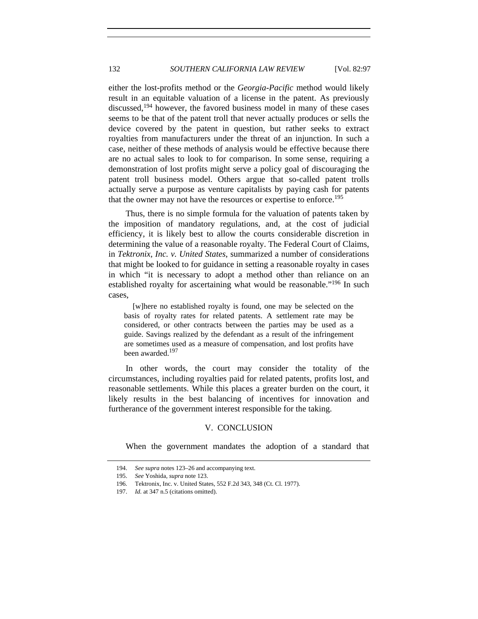either the lost-profits method or the *Georgia-Pacific* method would likely result in an equitable valuation of a license in the patent. As previously discussed,<sup>194</sup> however, the favored business model in many of these cases seems to be that of the patent troll that never actually produces or sells the device covered by the patent in question, but rather seeks to extract royalties from manufacturers under the threat of an injunction. In such a case, neither of these methods of analysis would be effective because there are no actual sales to look to for comparison. In some sense, requiring a demonstration of lost profits might serve a policy goal of discouraging the patent troll business model. Others argue that so-called patent trolls actually serve a purpose as venture capitalists by paying cash for patents that the owner may not have the resources or expertise to enforce.<sup>195</sup>

Thus, there is no simple formula for the valuation of patents taken by the imposition of mandatory regulations, and, at the cost of judicial efficiency, it is likely best to allow the courts considerable discretion in determining the value of a reasonable royalty. The Federal Court of Claims, in *Tektronix, Inc. v. United States*, summarized a number of considerations that might be looked to for guidance in setting a reasonable royalty in cases in which "it is necessary to adopt a method other than reliance on an established royalty for ascertaining what would be reasonable."<sup>196</sup> In such cases,

 [w]here no established royalty is found, one may be selected on the basis of royalty rates for related patents. A settlement rate may be considered, or other contracts between the parties may be used as a guide. Savings realized by the defendant as a result of the infringement are sometimes used as a measure of compensation, and lost profits have been awarded.<sup>197</sup>

In other words, the court may consider the totality of the circumstances, including royalties paid for related patents, profits lost, and reasonable settlements. While this places a greater burden on the court, it likely results in the best balancing of incentives for innovation and furtherance of the government interest responsible for the taking.

#### V. CONCLUSION

When the government mandates the adoption of a standard that

<sup>194.</sup> *See supra* notes 123–26 and accompanying text.

 <sup>195.</sup> *See* Yoshida, *supra* note 123.

 <sup>196.</sup> Tektronix, Inc. v. United States, 552 F.2d 343, 348 (Ct. Cl. 1977).

<sup>197.</sup> *Id.* at 347 n.5 (citations omitted).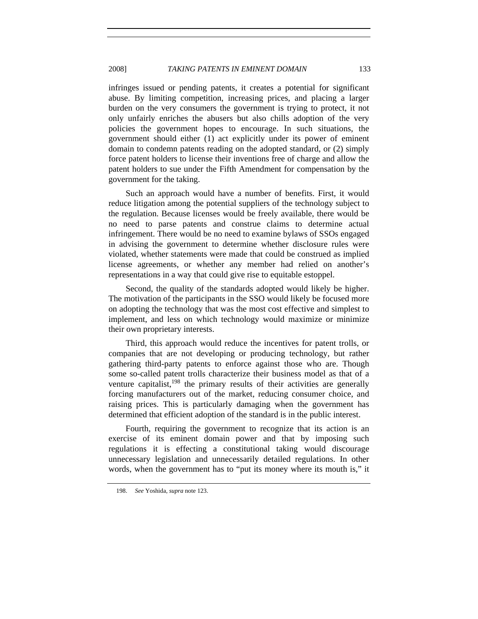infringes issued or pending patents, it creates a potential for significant abuse. By limiting competition, increasing prices, and placing a larger burden on the very consumers the government is trying to protect, it not only unfairly enriches the abusers but also chills adoption of the very policies the government hopes to encourage. In such situations, the government should either (1) act explicitly under its power of eminent domain to condemn patents reading on the adopted standard, or (2) simply force patent holders to license their inventions free of charge and allow the patent holders to sue under the Fifth Amendment for compensation by the government for the taking.

Such an approach would have a number of benefits. First, it would reduce litigation among the potential suppliers of the technology subject to the regulation. Because licenses would be freely available, there would be no need to parse patents and construe claims to determine actual infringement. There would be no need to examine bylaws of SSOs engaged in advising the government to determine whether disclosure rules were violated, whether statements were made that could be construed as implied license agreements, or whether any member had relied on another's representations in a way that could give rise to equitable estoppel.

Second, the quality of the standards adopted would likely be higher. The motivation of the participants in the SSO would likely be focused more on adopting the technology that was the most cost effective and simplest to implement, and less on which technology would maximize or minimize their own proprietary interests.

Third, this approach would reduce the incentives for patent trolls, or companies that are not developing or producing technology, but rather gathering third-party patents to enforce against those who are. Though some so-called patent trolls characterize their business model as that of a venture capitalist, $198$  the primary results of their activities are generally forcing manufacturers out of the market, reducing consumer choice, and raising prices. This is particularly damaging when the government has determined that efficient adoption of the standard is in the public interest.

Fourth, requiring the government to recognize that its action is an exercise of its eminent domain power and that by imposing such regulations it is effecting a constitutional taking would discourage unnecessary legislation and unnecessarily detailed regulations. In other words, when the government has to "put its money where its mouth is," it

 <sup>198.</sup> *See* Yoshida, *supra* note 123.